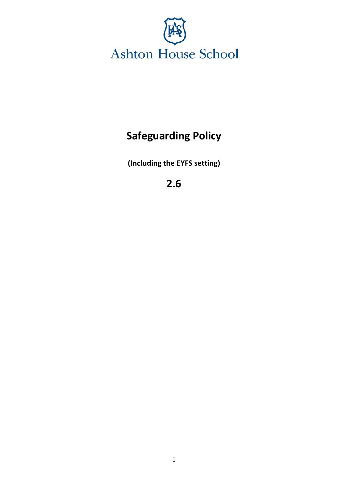

# **Safeguarding Policy**

**(Including the EYFS setting)**

**2.6**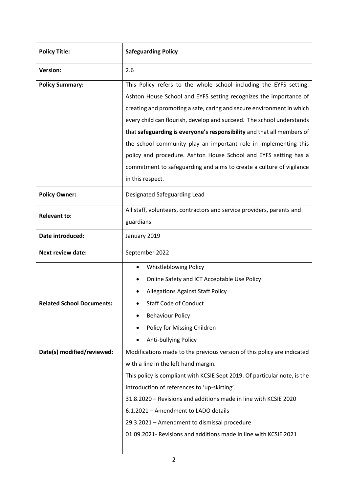| <b>Policy Title:</b>            | <b>Safeguarding Policy</b>                                                                                                                                                                                                                                                                                                                                                                                                                                                                                                                                                          |  |
|---------------------------------|-------------------------------------------------------------------------------------------------------------------------------------------------------------------------------------------------------------------------------------------------------------------------------------------------------------------------------------------------------------------------------------------------------------------------------------------------------------------------------------------------------------------------------------------------------------------------------------|--|
| <b>Version:</b>                 | 2.6                                                                                                                                                                                                                                                                                                                                                                                                                                                                                                                                                                                 |  |
| <b>Policy Summary:</b>          | This Policy refers to the whole school including the EYFS setting.<br>Ashton House School and EYFS setting recognizes the importance of<br>creating and promoting a safe, caring and secure environment in which<br>every child can flourish, develop and succeed. The school understands<br>that safeguarding is everyone's responsibility and that all members of<br>the school community play an important role in implementing this<br>policy and procedure. Ashton House School and EYFS setting has a<br>commitment to safeguarding and aims to create a culture of vigilance |  |
|                                 | in this respect.                                                                                                                                                                                                                                                                                                                                                                                                                                                                                                                                                                    |  |
| <b>Policy Owner:</b>            | Designated Safeguarding Lead                                                                                                                                                                                                                                                                                                                                                                                                                                                                                                                                                        |  |
| <b>Relevant to:</b>             | All staff, volunteers, contractors and service providers, parents and<br>guardians                                                                                                                                                                                                                                                                                                                                                                                                                                                                                                  |  |
| Date introduced:                | January 2019                                                                                                                                                                                                                                                                                                                                                                                                                                                                                                                                                                        |  |
| <b>Next review date:</b>        | September 2022                                                                                                                                                                                                                                                                                                                                                                                                                                                                                                                                                                      |  |
| <b>Related School Documents</b> | <b>Whistleblowing Policy</b><br>Online Safety and ICT Acceptable Use Policy<br><b>Allegations Against Staff Policy</b><br>Staff Code of Conduct<br><b>Behaviour Policy</b><br>Policy for Missing Children<br>Anti-bullying Policy                                                                                                                                                                                                                                                                                                                                                   |  |
| Date(s) modified/reviewed:      | Modifications made to the previous version of this policy are indicated<br>with a line in the left hand margin.<br>This policy is compliant with KCSIE Sept 2019. Of particular note, is the<br>introduction of references to 'up-skirting'.<br>31.8.2020 - Revisions and additions made in line with KCSIE 2020<br>6.1.2021 - Amendment to LADO details<br>29.3.2021 - Amendment to dismissal procedure<br>01.09.2021- Revisions and additions made in line with KCSIE 2021                                                                                                        |  |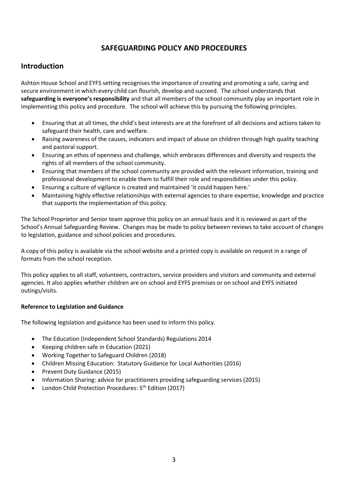## **SAFEGUARDING POLICY AND PROCEDURES**

## **Introduction**

Ashton House School and EYFS setting recognises the importance of creating and promoting a safe, caring and secure environment in which every child can flourish, develop and succeed. The school understands that **safeguarding is everyone's responsibility** and that all members of the school community play an important role in implementing this policy and procedure. The school will achieve this by pursuing the following principles.

- Ensuring that at all times, the child's best interests are at the forefront of all decisions and actions taken to safeguard their health, care and welfare.
- Raising awareness of the causes, indicators and impact of abuse on children through high quality teaching and pastoral support.
- Ensuring an ethos of openness and challenge, which embraces differences and diversity and respects the rights of all members of the school community.
- Ensuring that members of the school community are provided with the relevant information, training and professional development to enable them to fulfill their role and responsibilities under this policy.
- Ensuring a culture of vigilance is created and maintained 'it could happen here.'
- Maintaining highly effective relationships with external agencies to share expertise, knowledge and practice that supports the implementation of this policy.

The School Proprietor and Senior team approve this policy on an annual basis and it is reviewed as part of the School's Annual Safeguarding Review. Changes may be made to policy between reviews to take account of changes to legislation, guidance and school policies and procedures.

A copy of this policy is available via the school website and a printed copy is available on request in a range of formats from the school reception.

This policy applies to all staff, volunteers, contractors, service providers and visitors and community and external agencies. It also applies whether children are on school and EYFS premises or on school and EYFS initiated outings/visits.

## **Reference to Legislation and Guidance**

The following legislation and guidance has been used to inform this policy.

- The Education (Independent School Standards) Regulations 2014
- Keeping children safe in Education (2021)
- Working Together to Safeguard Children (2018)
- Children Missing Education: Statutory Guidance for Local Authorities (2016)
- Prevent Duty Guidance (2015)
- Information Sharing: advice for practitioners providing safeguarding services (2015)
- London Child Protection Procedures: 5<sup>th</sup> Edition (2017)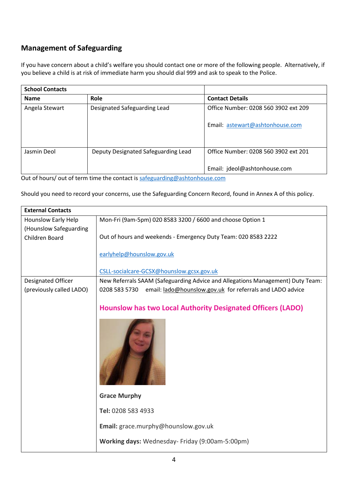## **Management of Safeguarding**

If you have concern about a child's welfare you should contact one or more of the following people. Alternatively, if you believe a child is at risk of immediate harm you should dial 999 and ask to speak to the Police.

| <b>School Contacts</b> |                                     |                                      |
|------------------------|-------------------------------------|--------------------------------------|
| <b>Name</b>            | Role                                | <b>Contact Details</b>               |
| Angela Stewart         | Designated Safeguarding Lead        | Office Number: 0208 560 3902 ext 209 |
|                        |                                     | Email: astewart@ashtonhouse.com      |
| Jasmin Deol            | Deputy Designated Safeguarding Lead | Office Number: 0208 560 3902 ext 201 |
|                        |                                     | Email: jdeol@ashtonhouse.com         |

Out of hours/ out of term time the contact i[s safeguarding@ashtonhouse.com](mailto:safeguarding@ashtonhouse.com)

Should you need to record your concerns, use the Safeguarding Concern Record, found in Annex A of this policy.

| <b>External Contacts</b>   |                                                                                |
|----------------------------|--------------------------------------------------------------------------------|
| <b>Hounslow Early Help</b> | Mon-Fri (9am-5pm) 020 8583 3200 / 6600 and choose Option 1                     |
| (Hounslow Safeguarding     |                                                                                |
| Children Board             | Out of hours and weekends - Emergency Duty Team: 020 8583 2222                 |
|                            |                                                                                |
|                            | earlyhelp@hounslow.gov.uk                                                      |
|                            |                                                                                |
|                            | CSLL-socialcare-GCSX@hounslow.gcsx.gov.uk                                      |
| Designated Officer         | New Referrals SAAM (Safeguarding Advice and Allegations Management) Duty Team: |
| (previously called LADO)   | email: lado@hounslow.gov.uk for referrals and LADO advice<br>0208 583 5730     |
|                            |                                                                                |
|                            | <b>Hounslow has two Local Authority Designated Officers (LADO)</b>             |
|                            |                                                                                |
|                            | <b>Grace Murphy</b>                                                            |
|                            | Tel: 0208 583 4933                                                             |
|                            | Email: grace.murphy@hounslow.gov.uk                                            |
|                            | Working days: Wednesday- Friday (9:00am-5:00pm)                                |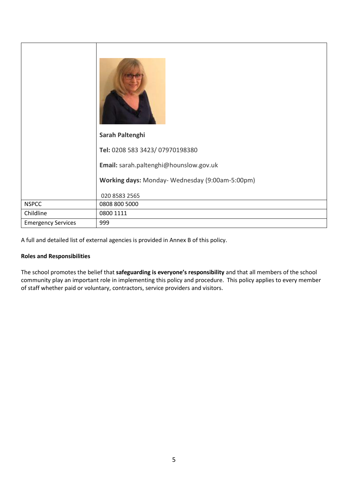|                           | Sarah Paltenghi                                 |
|---------------------------|-------------------------------------------------|
|                           | Tel: 0208 583 3423/07970198380                  |
|                           | Email: sarah.paltenghi@hounslow.gov.uk          |
|                           | Working days: Monday- Wednesday (9:00am-5:00pm) |
|                           | 020 8583 2565                                   |
| <b>NSPCC</b>              | 0808 800 5000                                   |
| Childline                 | 0800 1111                                       |
| <b>Emergency Services</b> | 999                                             |

A full and detailed list of external agencies is provided in Annex B of this policy.

## **Roles and Responsibilities**

The school promotes the belief that **safeguarding is everyone's responsibility** and that all members of the school community play an important role in implementing this policy and procedure. This policy applies to every member of staff whether paid or voluntary, contractors, service providers and visitors.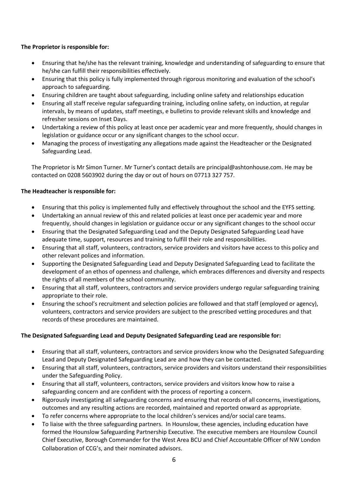## **The Proprietor is responsible for:**

- Ensuring that he/she has the relevant training, knowledge and understanding of safeguarding to ensure that he/she can fulfill their responsibilities effectively.
- Ensuring that this policy is fully implemented through rigorous monitoring and evaluation of the school's approach to safeguarding.
- Ensuring children are taught about safeguarding, including online safety and relationships education
- Ensuring all staff receive regular safeguarding training, including online safety, on induction, at regular intervals, by means of updates, staff meetings, e bulletins to provide relevant skills and knowledge and refresher sessions on Inset Days.
- Undertaking a review of this policy at least once per academic year and more frequently, should changes in legislation or guidance occur or any significant changes to the school occur.
- Managing the process of investigating any allegations made against the Headteacher or the Designated Safeguarding Lead.

The Proprietor is Mr Simon Turner. Mr Turner's contact details are [principal@ashtonhouse.com.](mailto:principal@ashtonhouse.com) He may be contacted on 0208 5603902 during the day or out of hours on 07713 327 757.

## **The Headteacher is responsible for:**

- Ensuring that this policy is implemented fully and effectively throughout the school and the EYFS setting.
- Undertaking an annual review of this and related policies at least once per academic year and more frequently, should changes in legislation or guidance occur or any significant changes to the school occur
- Ensuring that the Designated Safeguarding Lead and the Deputy Designated Safeguarding Lead have adequate time, support, resources and training to fulfill their role and responsibilities.
- Ensuring that all staff, volunteers, contractors, service providers and visitors have access to this policy and other relevant polices and information.
- Supporting the Designated Safeguarding Lead and Deputy Designated Safeguarding Lead to facilitate the development of an ethos of openness and challenge, which embraces differences and diversity and respects the rights of all members of the school community.
- Ensuring that all staff, volunteers, contractors and service providers undergo regular safeguarding training appropriate to their role.
- Ensuring the school's recruitment and selection policies are followed and that staff (employed or agency), volunteers, contractors and service providers are subject to the prescribed vetting procedures and that records of these procedures are maintained.

## **The Designated Safeguarding Lead and Deputy Designated Safeguarding Lead are responsible for:**

- Ensuring that all staff, volunteers, contractors and service providers know who the Designated Safeguarding Lead and Deputy Designated Safeguarding Lead are and how they can be contacted.
- Ensuring that all staff, volunteers, contractors, service providers and visitors understand their responsibilities under the Safeguarding Policy.
- Ensuring that all staff, volunteers, contractors, service providers and visitors know how to raise a safeguarding concern and are confident with the process of reporting a concern.
- Rigorously investigating all safeguarding concerns and ensuring that records of all concerns, investigations, outcomes and any resulting actions are recorded, maintained and reported onward as appropriate.
- To refer concerns where appropriate to the local children's services and/or social care teams.
- To liaise with the three safeguarding partners. In Hounslow, these agencies, including education have formed the Hounslow Safeguarding Partnership Executive. The executive members are Hounslow Council Chief Executive, Borough Commander for the West Area BCU and Chief Accountable Officer of NW London Collaboration of CCG's, and their nominated advisors.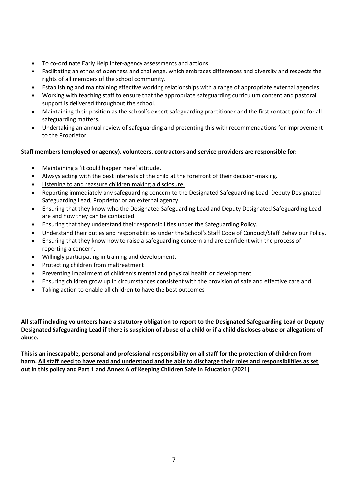- To co-ordinate Early Help inter-agency assessments and actions.
- Facilitating an ethos of openness and challenge, which embraces differences and diversity and respects the rights of all members of the school community.
- Establishing and maintaining effective working relationships with a range of appropriate external agencies.
- Working with teaching staff to ensure that the appropriate safeguarding curriculum content and pastoral support is delivered throughout the school.
- Maintaining their position as the school's expert safeguarding practitioner and the first contact point for all safeguarding matters.
- Undertaking an annual review of safeguarding and presenting this with recommendations for improvement to the Proprietor.

## **Staff members (employed or agency), volunteers, contractors and service providers are responsible for:**

- Maintaining a 'it could happen here' attitude.
- Always acting with the best interests of the child at the forefront of their decision-making.
- Listening to and reassure children making a disclosure.
- Reporting immediately any safeguarding concern to the Designated Safeguarding Lead, Deputy Designated Safeguarding Lead, Proprietor or an external agency.
- Ensuring that they know who the Designated Safeguarding Lead and Deputy Designated Safeguarding Lead are and how they can be contacted.
- Ensuring that they understand their responsibilities under the Safeguarding Policy.
- Understand their duties and responsibilities under the School's Staff Code of Conduct/Staff Behaviour Policy.
- Ensuring that they know how to raise a safeguarding concern and are confident with the process of reporting a concern.
- Willingly participating in training and development.
- Protecting children from maltreatment
- Preventing impairment of children's mental and physical health or development
- Ensuring children grow up in circumstances consistent with the provision of safe and effective care and
- Taking action to enable all children to have the best outcomes

**All staff including volunteers have a statutory obligation to report to the Designated Safeguarding Lead or Deputy Designated Safeguarding Lead if there is suspicion of abuse of a child or if a child discloses abuse or allegations of abuse.** 

**This is an inescapable, personal and professional responsibility on all staff for the protection of children from harm. All staff need to have read and understood and be able to discharge their roles and responsibilities as set out in this policy and Part 1 and Annex A of Keeping Children Safe in Education (2021)**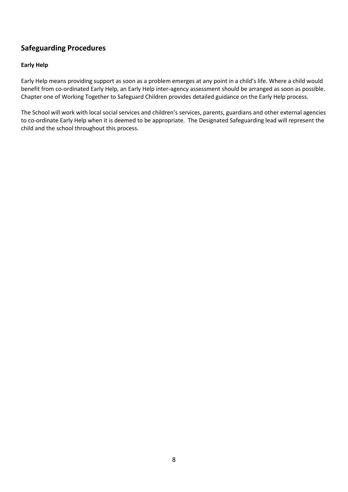## **Safeguarding Procedures**

## **Early Help**

Early Help means providing support as soon as a problem emerges at any point in a child's life. Where a child would benefit from co-ordinated Early Help, an Early Help inter-agency assessment should be arranged as soon as possible. Chapter one of Working Together to Safeguard Children provides detailed guidance on the Early Help process.

The School will work with local social services and children's services, parents, guardians and other external agencies to co-ordinate Early Help when it is deemed to be appropriate. The Designated Safeguarding lead will represent the child and the school throughout this process.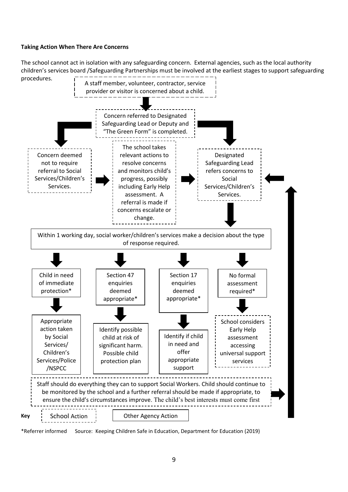## **Taking Action When There Are Concerns**

The school cannot act in isolation with any safeguarding concern. External agencies, such as the local authority children's services board /Safeguarding Partnerships must be involved at the earliest stages to support safeguarding



\*Referrer informed Source: Keeping Children Safe in Education, Department for Education (2019)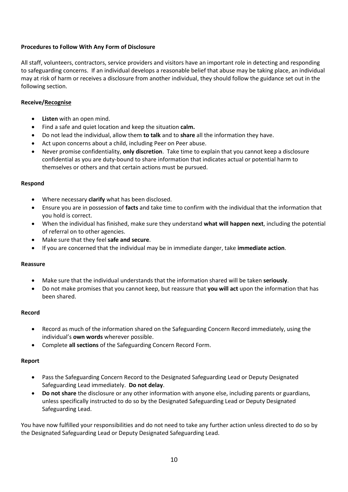## **Procedures to Follow With Any Form of Disclosure**

All staff, volunteers, contractors, service providers and visitors have an important role in detecting and responding to safeguarding concerns. If an individual develops a reasonable belief that abuse may be taking place, an individual may at risk of harm or receives a disclosure from another individual, they should follow the guidance set out in the following section.

## **Receive/Recognise**

- **Listen** with an open mind.
- Find a safe and quiet location and keep the situation **calm.**
- Do not lead the individual, allow them **to talk** and to **share** all the information they have.
- Act upon concerns about a child, including Peer on Peer abuse.
- Never promise confidentiality, **only discretion**. Take time to explain that you cannot keep a disclosure confidential as you are duty-bound to share information that indicates actual or potential harm to themselves or others and that certain actions must be pursued.

## **Respond**

- Where necessary **clarify** what has been disclosed.
- Ensure you are in possession of **facts** and take time to confirm with the individual that the information that you hold is correct.
- When the individual has finished, make sure they understand **what will happen next**, including the potential of referral on to other agencies.
- Make sure that they feel **safe and secure**.
- If you are concerned that the individual may be in immediate danger, take **immediate action**.

## **Reassure**

- Make sure that the individual understands that the information shared will be taken **seriously**.
- Do not make promises that you cannot keep, but reassure that **you will act** upon the information that has been shared.

## **Record**

- Record as much of the information shared on the Safeguarding Concern Record immediately, using the individual's **own words** wherever possible.
- Complete **all sections** of the Safeguarding Concern Record Form.

## **Report**

- Pass the Safeguarding Concern Record to the Designated Safeguarding Lead or Deputy Designated Safeguarding Lead immediately. **Do not delay**.
- **Do not share** the disclosure or any other information with anyone else, including parents or guardians, unless specifically instructed to do so by the Designated Safeguarding Lead or Deputy Designated Safeguarding Lead.

You have now fulfilled your responsibilities and do not need to take any further action unless directed to do so by the Designated Safeguarding Lead or Deputy Designated Safeguarding Lead.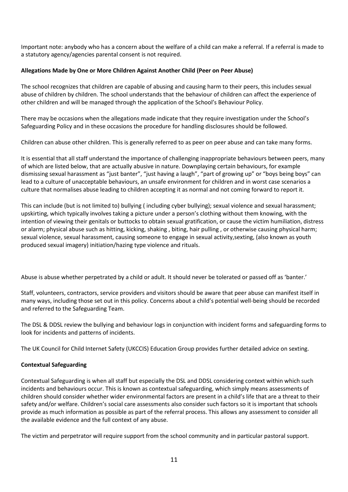Important note: anybody who has a concern about the welfare of a child can make a referral. If a referral is made to a statutory agency/agencies parental consent is not required.

## **Allegations Made by One or More Children Against Another Child (Peer on Peer Abuse)**

The school recognizes that children are capable of abusing and causing harm to their peers, this includes sexual abuse of children by children. The school understands that the behaviour of children can affect the experience of other children and will be managed through the application of the School's Behaviour Policy.

There may be occasions when the allegations made indicate that they require investigation under the School's Safeguarding Policy and in these occasions the procedure for handling disclosures should be followed.

Children can abuse other children. This is generally referred to as peer on peer abuse and can take many forms.

It is essential that all staff understand the importance of challenging inappropriate behaviours between peers, many of which are listed below, that are actually abusive in nature. Downplaying certain behaviours, for example dismissing sexual harassment as "just banter", "just having a laugh", "part of growing up" or "boys being boys" can lead to a culture of unacceptable behaviours, an unsafe environment for children and in worst case scenarios a culture that normalises abuse leading to children accepting it as normal and not coming forward to report it.

This can include (but is not limited to) bullying ( including cyber bullying); sexual violence and sexual harassment; upskirting, which typically involves taking a picture under a person's clothing without them knowing, with the intention of viewing their genitals or buttocks to obtain sexual gratification, or cause the victim humiliation, distress or alarm; physical abuse such as hitting, kicking, shaking , biting, hair pulling , or otherwise causing physical harm; sexual violence, sexual harassment, causing someone to engage in sexual activity,sexting, (also known as youth produced sexual imagery) initiation/hazing type violence and rituals.

Abuse is abuse whether perpetrated by a child or adult. It should never be tolerated or passed off as 'banter.'

Staff, volunteers, contractors, service providers and visitors should be aware that peer abuse can manifest itself in many ways, including those set out in this policy. Concerns about a child's potential well-being should be recorded and referred to the Safeguarding Team.

The DSL & DDSL review the bullying and behaviour logs in conjunction with incident forms and safeguarding forms to look for incidents and patterns of incidents.

The UK Council for Child Internet Safety (UKCCIS) Education Group provides further detailed advice on sexting.

## **Contextual Safeguarding**

Contextual Safeguarding is when all staff but especially the DSL and DDSL considering context within which such incidents and behaviours occur. This is known as contextual safeguarding, which simply means assessments of children should consider whether wider environmental factors are present in a child's life that are a threat to their safety and/or welfare. Children's social care assessments also consider such factors so it is important that schools provide as much information as possible as part of the referral process. This allows any assessment to consider all the available evidence and the full context of any abuse.

The victim and perpetrator will require support from the school community and in particular pastoral support.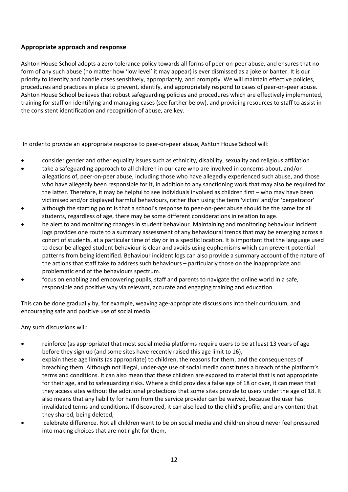## **Appropriate approach and response**

Ashton House School adopts a zero-tolerance policy towards all forms of peer-on-peer abuse, and ensures that no form of any such abuse (no matter how 'low level' it may appear) is ever dismissed as a joke or banter. It is our priority to identify and handle cases sensitively, appropriately, and promptly. We will maintain effective policies, procedures and practices in place to prevent, identify, and appropriately respond to cases of peer-on-peer abuse. Ashton House School believes that robust safeguarding policies and procedures which are effectively implemented, training for staff on identifying and managing cases (see further below), and providing resources to staff to assist in the consistent identification and recognition of abuse, are key.

In order to provide an appropriate response to peer-on-peer abuse, Ashton House School will:

- consider gender and other equality issues such as ethnicity, disability, sexuality and religious affiliation
- take a safeguarding approach to all children in our care who are involved in concerns about, and/or allegations of, peer-on-peer abuse, including those who have allegedly experienced such abuse, and those who have allegedly been responsible for it, in addition to any sanctioning work that may also be required for the latter. Therefore, it may be helpful to see individuals involved as children first – who may have been victimised and/or displayed harmful behaviours, rather than using the term 'victim' and/or 'perpetrator'
- although the starting point is that a school's response to peer-on-peer abuse should be the same for all students, regardless of age, there may be some different considerations in relation to age.
- be alert to and monitoring changes in student behaviour. Maintaining and monitoring behaviour incident logs provides one route to a summary assessment of any behavioural trends that may be emerging across a cohort of students, at a particular time of day or in a specific location. It is important that the language used to describe alleged student behaviour is clear and avoids using euphemisms which can prevent potential patterns from being identified. Behaviour incident logs can also provide a summary account of the nature of the actions that staff take to address such behaviours – particularly those on the inappropriate and problematic end of the behaviours spectrum.
- focus on enabling and empowering pupils, staff and parents to navigate the online world in a safe, responsible and positive way via relevant, accurate and engaging training and education.

This can be done gradually by, for example, weaving age-appropriate discussions into their curriculum, and encouraging safe and positive use of social media.

Any such discussions will:

- reinforce (as appropriate) that most social media platforms require users to be at least 13 years of age before they sign up (and some sites have recently raised this age limit to 16),
- explain these age limits (as appropriate) to children, the reasons for them, and the consequences of breaching them. Although not illegal, under-age use of social media constitutes a breach of the platform's terms and conditions. It can also mean that these children are exposed to material that is not appropriate for their age, and to safeguarding risks. Where a child provides a false age of 18 or over, it can mean that they access sites without the additional protections that some sites provide to users under the age of 18. It also means that any liability for harm from the service provider can be waived, because the user has invalidated terms and conditions. If discovered, it can also lead to the child's profile, and any content that they shared, being deleted,
- celebrate difference. Not all children want to be on social media and children should never feel pressured into making choices that are not right for them,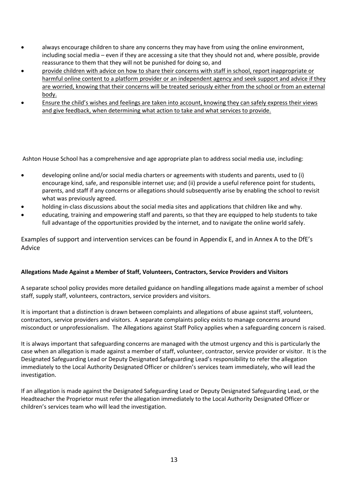- always encourage children to share any concerns they may have from using the online environment, including social media – even if they are accessing a site that they should not and, where possible, provide reassurance to them that they will not be punished for doing so, and
- provide children with advice on how to share their concerns with staff in school, report inappropriate or harmful online content to a platform provider or an independent agency and seek support and advice if they are worried, knowing that their concerns will be treated seriously either from the school or from an external body.
- Ensure the child's wishes and feelings are taken into account, knowing they can safely express their views and give feedback, when determining what action to take and what services to provide.

Ashton House School has a comprehensive and age appropriate plan to address social media use, including:

- developing online and/or social media charters or agreements with students and parents, used to (i) encourage kind, safe, and responsible internet use; and (ii) provide a useful reference point for students, parents, and staff if any concerns or allegations should subsequently arise by enabling the school to revisit what was previously agreed.
- holding in-class discussions about the social media sites and applications that children like and why.
- educating, training and empowering staff and parents, so that they are equipped to help students to take full advantage of the opportunities provided by the internet, and to navigate the online world safely.

Examples of support and intervention services can be found in Appendix E, and in Annex A to the DfE's Advice

## **Allegations Made Against a Member of Staff, Volunteers, Contractors, Service Providers and Visitors**

A separate school policy provides more detailed guidance on handling allegations made against a member of school staff, supply staff, volunteers, contractors, service providers and visitors.

It is important that a distinction is drawn between complaints and allegations of abuse against staff, volunteers, contractors, service providers and visitors. A separate complaints policy exists to manage concerns around misconduct or unprofessionalism. The Allegations against Staff Policy applies when a safeguarding concern is raised.

It is always important that safeguarding concerns are managed with the utmost urgency and this is particularly the case when an allegation is made against a member of staff, volunteer, contractor, service provider or visitor. It is the Designated Safeguarding Lead or Deputy Designated Safeguarding Lead's responsibility to refer the allegation immediately to the Local Authority Designated Officer or children's services team immediately, who will lead the investigation.

If an allegation is made against the Designated Safeguarding Lead or Deputy Designated Safeguarding Lead, or the Headteacher the Proprietor must refer the allegation immediately to the Local Authority Designated Officer or children's services team who will lead the investigation.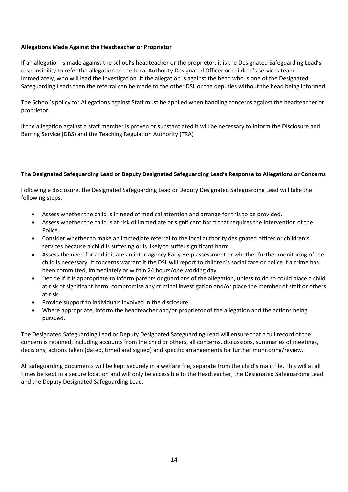## **Allegations Made Against the Headteacher or Proprietor**

If an allegation is made against the school's headteacher or the proprietor, it is the Designated Safeguarding Lead's responsibility to refer the allegation to the Local Authority Designated Officer or children's services team immediately, who will lead the investigation. If the allegation is against the head who is one of the Designated Safeguarding Leads then the referral can be made to the other DSL or the deputies without the head being informed.

The School's policy for Allegations against Staff must be applied when handling concerns against the headteacher or proprietor.

If the allegation against a staff member is proven or substantiated it will be necessary to inform the Disclosure and Barring Service (DBS) and the Teaching Regulation Authority (TRA)

## **The Designated Safeguarding Lead or Deputy Designated Safeguarding Lead's Response to Allegations or Concerns**

Following a disclosure, the Designated Safeguarding Lead or Deputy Designated Safeguarding Lead will take the following steps.

- Assess whether the child is in need of medical attention and arrange for this to be provided.
- Assess whether the child is at risk of immediate or significant harm that requires the intervention of the Police.
- Consider whether to make an immediate referral to the local authority designated officer or children's services because a child is suffering or is likely to suffer significant harm
- Assess the need for and initiate an inter-agency Early Help assessment or whether further monitoring of the child is necessary. If concerns warrant it the DSL will report to children's social care or police if a crime has been committed, immediately or within 24 hours/one working day.
- Decide if it is appropriate to inform parents or guardians of the allegation, unless to do so could place a child at risk of significant harm, compromise any criminal investigation and/or place the member of staff or others at risk.
- Provide support to individuals involved in the disclosure.
- Where appropriate, inform the headteacher and/or proprietor of the allegation and the actions being pursued.

The Designated Safeguarding Lead or Deputy Designated Safeguarding Lead will ensure that a full record of the concern is retained, including accounts from the child or others, all concerns, discussions, summaries of meetings, decisions, actions taken (dated, timed and signed) and specific arrangements for further monitoring/review.

All safeguarding documents will be kept securely in a welfare file, separate from the child's main file. This will at all times be kept in a secure location and will only be accessible to the Headteacher, the Designated Safeguarding Lead and the Deputy Designated Safeguarding Lead.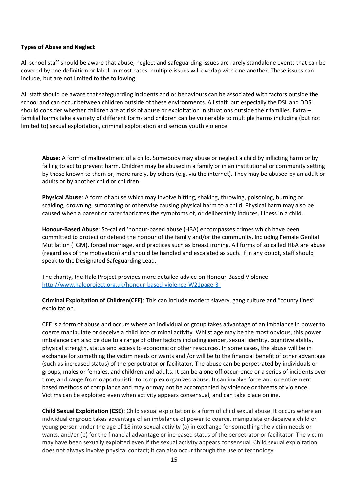## **Types of Abuse and Neglect**

All school staff should be aware that abuse, neglect and safeguarding issues are rarely standalone events that can be covered by one definition or label. In most cases, multiple issues will overlap with one another. These issues can include, but are not limited to the following.

All staff should be aware that safeguarding incidents and or behaviours can be associated with factors outside the school and can occur between children outside of these environments. All staff, but especially the DSL and DDSL should consider whether children are at risk of abuse or exploitation in situations outside their families. Extra – familial harms take a variety of different forms and children can be vulnerable to multiple harms including (but not limited to) sexual exploitation, criminal exploitation and serious youth violence.

**Abuse**: A form of maltreatment of a child. Somebody may abuse or neglect a child by inflicting harm or by failing to act to prevent harm. Children may be abused in a family or in an institutional or community setting by those known to them or, more rarely, by others (e.g. via the internet). They may be abused by an adult or adults or by another child or children.

**Physical Abuse**: A form of abuse which may involve hitting, shaking, throwing, poisoning, burning or scalding, drowning, suffocating or otherwise causing physical harm to a child. Physical harm may also be caused when a parent or carer fabricates the symptoms of, or deliberately induces, illness in a child.

**Honour-Based Abuse**: So-called 'honour-based abuse (HBA) encompasses crimes which have been committed to protect or defend the honour of the family and/or the community, including Female Genital Mutilation (FGM), forced marriage, and practices such as breast ironing. All forms of so called HBA are abuse (regardless of the motivation) and should be handled and escalated as such. If in any doubt, staff should speak to the Designated Safeguarding Lead.

The charity, the Halo Project provides more detailed advice on Honour-Based Violence <http://www.haloproject.org.uk/honour-based-violence-W21page-3->

**Criminal Exploitation of Children(CEE)**: This can include modern slavery, gang culture and "county lines" exploitation.

CEE is a form of abuse and occurs where an individual or group takes advantage of an imbalance in power to coerce manipulate or deceive a child into criminal activity. Whilst age may be the most obvious, this power imbalance can also be due to a range of other factors including gender, sexual identity, cognitive ability, physical strength, status and access to economic or other resources. In some cases, the abuse will be in exchange for something the victim needs or wants and /or will be to the financial benefit of other advantage (such as increased status) of the perpetrator or facilitator. The abuse can be perpetrated by individuals or groups, males or females, and children and adults. It can be a one off occurrence or a series of incidents over time, and range from opportunistic to complex organized abuse. It can involve force and or enticement based methods of compliance and may or may not be accompanied by violence or threats of violence. Victims can be exploited even when activity appears consensual, and can take place online.

**Child Sexual Exploitation (CSE)**: Child sexual exploitation is a form of child sexual abuse. It occurs where an individual or group takes advantage of an imbalance of power to coerce, manipulate or deceive a child or young person under the age of 18 into sexual activity (a) in exchange for something the victim needs or wants, and/or (b) for the financial advantage or increased status of the perpetrator or facilitator. The victim may have been sexually exploited even if the sexual activity appears consensual. Child sexual exploitation does not always involve physical contact; it can also occur through the use of technology.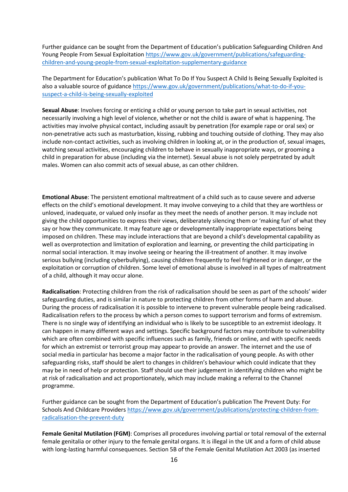Further guidance can be sought from the Department of Education's publication Safeguarding Children And Young People From Sexual Exploitation [https://www.gov.uk/government/publications/safeguarding](https://www.gov.uk/government/publications/safeguarding-children-and-young-people-from-sexual-exploitation-supplementary-guidance)[children-and-young-people-from-sexual-exploitation-supplementary-guidance](https://www.gov.uk/government/publications/safeguarding-children-and-young-people-from-sexual-exploitation-supplementary-guidance)

The Department for Education's publication What To Do If You Suspect A Child Is Being Sexually Exploited is also a valuable source of guidance [https://www.gov.uk/government/publications/what-to-do-if-you](https://www.gov.uk/government/publications/what-to-do-if-you-suspect-a-child-is-being-sexually-exploited)[suspect-a-child-is-being-sexually-exploited](https://www.gov.uk/government/publications/what-to-do-if-you-suspect-a-child-is-being-sexually-exploited)

**Sexual Abuse**: Involves forcing or enticing a child or young person to take part in sexual activities, not necessarily involving a high level of violence, whether or not the child is aware of what is happening. The activities may involve physical contact, including assault by penetration (for example rape or oral sex) or non-penetrative acts such as masturbation, kissing, rubbing and touching outside of clothing. They may also include non-contact activities, such as involving children in looking at, or in the production of, sexual images, watching sexual activities, encouraging children to behave in sexually inappropriate ways, or grooming a child in preparation for abuse (including via the internet). Sexual abuse is not solely perpetrated by adult males. Women can also commit acts of sexual abuse, as can other children.

**Emotional Abuse**: The persistent emotional maltreatment of a child such as to cause severe and adverse effects on the child's emotional development. It may involve conveying to a child that they are worthless or unloved, inadequate, or valued only insofar as they meet the needs of another person. It may include not giving the child opportunities to express their views, deliberately silencing them or 'making fun' of what they say or how they communicate. It may feature age or developmentally inappropriate expectations being imposed on children. These may include interactions that are beyond a child's developmental capability as well as overprotection and limitation of exploration and learning, or preventing the child participating in normal social interaction. It may involve seeing or hearing the ill-treatment of another. It may involve serious bullying (including cyberbullying), causing children frequently to feel frightened or in danger, or the exploitation or corruption of children. Some level of emotional abuse is involved in all types of maltreatment of a child, although it may occur alone.

**Radicalisation**: Protecting children from the risk of radicalisation should be seen as part of the schools' wider safeguarding duties, and is similar in nature to protecting children from other forms of harm and abuse. During the process of radicalisation it is possible to intervene to prevent vulnerable people being radicalised. Radicalisation refers to the process by which a person comes to support terrorism and forms of extremism. There is no single way of identifying an individual who is likely to be susceptible to an extremist ideology. It can happen in many different ways and settings. Specific background factors may contribute to vulnerability which are often combined with specific influences such as family, friends or online, and with specific needs for which an extremist or terrorist group may appear to provide an answer. The internet and the use of social media in particular has become a major factor in the radicalisation of young people. As with other safeguarding risks, staff should be alert to changes in children's behaviour which could indicate that they may be in need of help or protection. Staff should use their judgement in identifying children who might be at risk of radicalisation and act proportionately, which may include making a referral to the Channel programme.

Further guidance can be sought from the Department of Education's publication The Prevent Duty: For Schools And Childcare Provider[s https://www.gov.uk/government/publications/protecting-children-from](https://www.gov.uk/government/publications/protecting-children-from-radicalisation-the-prevent-duty)[radicalisation-the-prevent-duty](https://www.gov.uk/government/publications/protecting-children-from-radicalisation-the-prevent-duty)

**Female Genital Mutilation (FGM)**: Comprises all procedures involving partial or total removal of the external female genitalia or other injury to the female genital organs. It is illegal in the UK and a form of child abuse with long-lasting harmful consequences. Section 5B of the Female Genital Mutilation Act 2003 (as inserted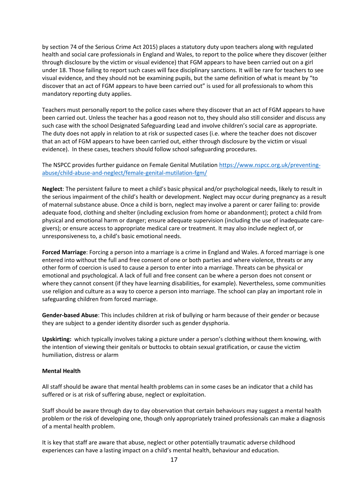by section 74 of the Serious Crime Act 2015) places a statutory duty upon teachers along with regulated health and social care professionals in England and Wales, to report to the police where they discover (either through disclosure by the victim or visual evidence) that FGM appears to have been carried out on a girl under 18. Those failing to report such cases will face disciplinary sanctions. It will be rare for teachers to see visual evidence, and they should not be examining pupils, but the same definition of what is meant by "to discover that an act of FGM appears to have been carried out" is used for all professionals to whom this mandatory reporting duty applies.

Teachers must personally report to the police cases where they discover that an act of FGM appears to have been carried out. Unless the teacher has a good reason not to, they should also still consider and discuss any such case with the school Designated Safeguarding Lead and involve children's social care as appropriate. The duty does not apply in relation to at risk or suspected cases (i.e. where the teacher does not discover that an act of FGM appears to have been carried out, either through disclosure by the victim or visual evidence). In these cases, teachers should follow school safeguarding procedures.

The NSPCC provides further guidance on Female Genital Mutilatio[n https://www.nspcc.org.uk/preventing](https://www.nspcc.org.uk/preventing-abuse/child-abuse-and-neglect/female-genital-mutilation-fgm/)[abuse/child-abuse-and-neglect/female-genital-mutilation-fgm/](https://www.nspcc.org.uk/preventing-abuse/child-abuse-and-neglect/female-genital-mutilation-fgm/)

**Neglect**: The persistent failure to meet a child's basic physical and/or psychological needs, likely to result in the serious impairment of the child's health or development. Neglect may occur during pregnancy as a result of maternal substance abuse. Once a child is born, neglect may involve a parent or carer failing to: provide adequate food, clothing and shelter (including exclusion from home or abandonment); protect a child from physical and emotional harm or danger; ensure adequate supervision (including the use of inadequate caregivers); or ensure access to appropriate medical care or treatment. It may also include neglect of, or unresponsiveness to, a child's basic emotional needs.

**Forced Marriage**: Forcing a person into a marriage is a crime in England and Wales. A forced marriage is one entered into without the full and free consent of one or both parties and where violence, threats or any other form of coercion is used to cause a person to enter into a marriage. Threats can be physical or emotional and psychological. A lack of full and free consent can be where a person does not consent or where they cannot consent (if they have learning disabilities, for example). Nevertheless, some communities use religion and culture as a way to coerce a person into marriage. The school can play an important role in safeguarding children from forced marriage.

**Gender-based Abuse**: This includes children at risk of bullying or harm because of their gender or because they are subject to a gender identity disorder such as gender dysphoria.

**Upskirting:** which typically involves taking a picture under a person's clothing without them knowing, with the intention of viewing their genitals or buttocks to obtain sexual gratification, or cause the victim humiliation, distress or alarm

## **Mental Health**

All staff should be aware that mental health problems can in some cases be an indicator that a child has suffered or is at risk of suffering abuse, neglect or exploitation.

Staff should be aware through day to day observation that certain behaviours may suggest a mental health problem or the risk of developing one, though only appropriately trained professionals can make a diagnosis of a mental health problem.

It is key that staff are aware that abuse, neglect or other potentially traumatic adverse childhood experiences can have a lasting impact on a child's mental health, behaviour and education.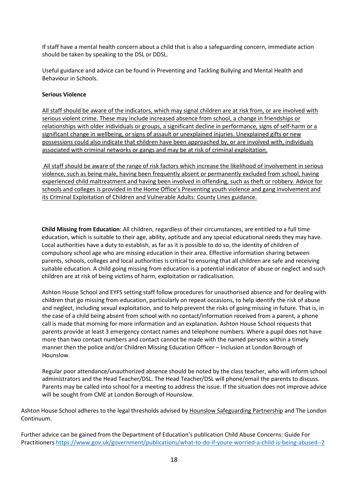If staff have a mental health concern about a child that is also a safeguarding concern, immediate action should be taken by speaking to the DSL or DDSL.

Useful guidance and advice can be found in Preventing and Tackling Bullying and Mental Health and Behaviour in Schools.

#### **Serious Violence**

All staff should be aware of the indicators, which may signal children are at risk from, or are involved with serious violent crime. These may include increased absence from school, a change in friendships or relationships with older individuals or groups, a significant decline in performance, signs of self-harm or a significant change in wellbeing, or signs of assault or unexplained injuries. Unexplained gifts or new possessions could also indicate that children have been approached by, or are involved with, individuals associated with criminal networks or gangs and may be at risk of criminal exploitation.

All staff should be aware of the range of risk factors which increase the likelihood of involvement in serious violence, such as being male, having been frequently absent or permanently excluded from school, having experienced child maltreatment and having been involved in offending, such as theft or robbery. Advice for schools and colleges is provided in the Home Office's Preventing youth violence and gang involvement and its Criminal Exploitation of Children and Vulnerable Adults: County Lines guidance.

**Child Missing from Education**: All children, regardless of their circumstances, are entitled to a full time education, which is suitable to their age, ability, aptitude and any special educational needs they may have. Local authorities have a duty to establish, as far as it is possible to do so, the identity of children of compulsory school age who are missing education in their area. Effective information sharing between parents, schools, colleges and local authorities is critical to ensuring that all children are safe and receiving suitable education. A child going missing from education is a potential indicator of abuse or neglect and such children are at risk of being victims of harm, exploitation or radicalisation.

Ashton House School and EYFS setting staff follow procedures for unauthorised absence and for dealing with children that go missing from education, particularly on repeat occasions, to help identify the risk of abuse and neglect, including sexual exploitation, and to help prevent the risks of going missing in future. That is, in the case of a child being absent from school with no contact/information received from a parent, a phone call is made that morning for more information and an explanation. Ashton House School requests that parents provide at least 3 emergency contact names and telephone numbers. Where a pupil does not have more than two contact numbers and contact cannot be made with the named persons within a timely manner then the police and/or Children Missing Education Officer – Inclusion at London Borough of Hounslow.

Regular poor attendance/unauthorized absence should be noted by the class teacher, who will inform school administrators and the Head Teacher/DSL. The Head Teacher/DSL will phone/email the parents to discuss. Parents may be called into school for a meeting to address the issue. If the situation does not improve advice will be sought from CME at London Borough of Hounslow.

Ashton House School adheres to the legal thresholds advised by Hounslow Safeguarding Partnership and The London Continuum.

Further advice can be gained from the Department of Education's publication Child Abuse Concerns: Guide For Practitioner[s https://www.gov.uk/government/publications/what-to-do-if-youre-worried-a-child-is-being-abused--2](https://www.gov.uk/government/publications/what-to-do-if-youre-worried-a-child-is-being-abused--2)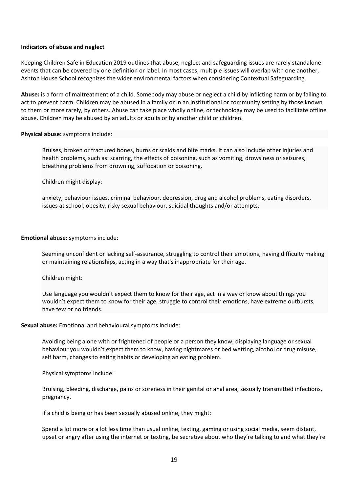#### **Indicators of abuse and neglect**

Keeping Children Safe in Education 2019 outlines that abuse, neglect and safeguarding issues are rarely standalone events that can be covered by one definition or label. In most cases, multiple issues will overlap with one another, Ashton House School recognizes the wider environmental factors when considering Contextual Safeguarding.

**Abuse:** is a form of maltreatment of a child. Somebody may abuse or neglect a child by inflicting harm or by failing to act to prevent harm. Children may be abused in a family or in an institutional or community setting by those known to them or more rarely, by others. Abuse can take place wholly online, or technology may be used to facilitate offline abuse. Children may be abused by an adults or adults or by another child or children.

#### **Physical abuse:** symptoms include:

Bruises, broken or fractured bones, burns or scalds and bite marks. It can also include other injuries and health problems, such as: scarring, the effects of poisoning, such as vomiting, drowsiness or seizures, breathing problems from drowning, suffocation or poisoning.

Children might display:

anxiety, behaviour issues, criminal behaviour, depression, drug and alcohol problems, eating disorders, issues at school, obesity, risky sexual behaviour, suicidal thoughts and/or attempts.

#### **Emotional abuse:** symptoms include:

Seeming unconfident or lacking self-assurance, struggling to control their emotions, having difficulty making or maintaining relationships, acting in a way that's inappropriate for their age.

#### Children might:

Use language you wouldn't expect them to know for their age, act in a way or know about things you wouldn't expect them to know for their age, struggle to control their emotions, have extreme outbursts, have few or no friends.

#### **Sexual abuse:** Emotional and behavioural symptoms include:

Avoiding being alone with or frightened of people or a person they know, displaying language or sexual behaviour you wouldn't expect them to know, having nightmares or bed wetting, alcohol or drug misuse, self harm, changes to eating habits or developing an eating problem.

Physical symptoms include:

Bruising, bleeding, discharge, pains or soreness in their genital or anal area, sexually transmitted infections, pregnancy.

If a child is being or has been sexually abused online, they might:

Spend a lot more or a lot less time than usual online, texting, gaming or using social media, seem distant, upset or angry after using the internet or texting, be secretive about who they're talking to and what they're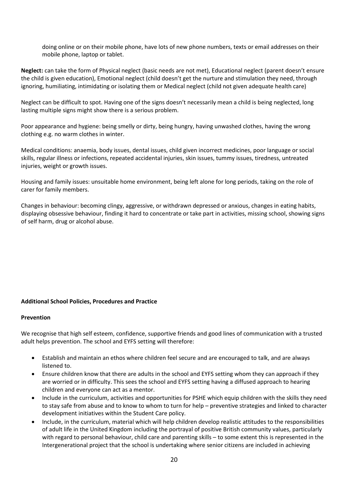doing online or on their mobile phone, have lots of new phone numbers, texts or email addresses on their mobile phone, laptop or tablet.

**Neglect:** can take the form of Physical neglect (basic needs are not met), Educational neglect (parent doesn't ensure the child is given education), Emotional neglect (child doesn't get the nurture and stimulation they need, through ignoring, humiliating, intimidating or isolating them or Medical neglect (child not given adequate health care)

Neglect can be difficult to spot. Having one of the signs doesn't necessarily mean a child is being neglected, long lasting multiple signs might show there is a serious problem.

Poor appearance and hygiene: being smelly or dirty, being hungry, having unwashed clothes, having the wrong clothing e.g. no warm clothes in winter.

Medical conditions: anaemia, body issues, dental issues, child given incorrect medicines, poor language or social skills, regular illness or infections, repeated accidental injuries, skin issues, tummy issues, tiredness, untreated injuries, weight or growth issues.

Housing and family issues: unsuitable home environment, being left alone for long periods, taking on the role of carer for family members.

Changes in behaviour: becoming clingy, aggressive, or withdrawn depressed or anxious, changes in eating habits, displaying obsessive behaviour, finding it hard to concentrate or take part in activities, missing school, showing signs of self harm, drug or alcohol abuse.

## **Additional School Policies, Procedures and Practice**

#### **Prevention**

We recognise that high self esteem, confidence, supportive friends and good lines of communication with a trusted adult helps prevention. The school and EYFS setting will therefore:

- Establish and maintain an ethos where children feel secure and are encouraged to talk, and are always listened to.
- Ensure children know that there are adults in the school and EYFS setting whom they can approach if they are worried or in difficulty. This sees the school and EYFS setting having a diffused approach to hearing children and everyone can act as a mentor.
- Include in the curriculum, activities and opportunities for PSHE which equip children with the skills they need to stay safe from abuse and to know to whom to turn for help – preventive strategies and linked to character development initiatives within the Student Care policy.
- Include, in the curriculum, material which will help children develop realistic attitudes to the responsibilities of adult life in the United Kingdom including the portrayal of positive British community values, particularly with regard to personal behaviour, child care and parenting skills – to some extent this is represented in the Intergenerational project that the school is undertaking where senior citizens are included in achieving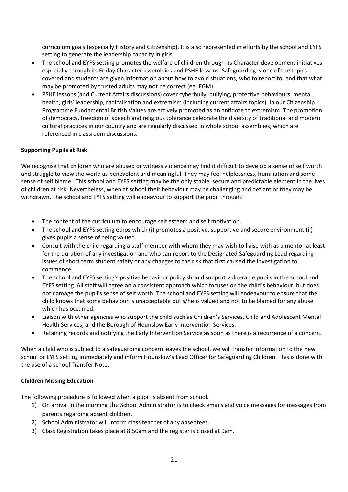curriculum goals (especially History and Citizenship). It is also represented in efforts by the school and EYFS setting to generate the leadership capacity in girls.

- The school and EYFS setting promotes the welfare of children through its Character development initiatives especially through its Friday Character assemblies and PSHE lessons. Safeguarding is one of the topics covered and students are given information about how to avoid situations, who to report to, and that what may be promoted by trusted adults may not be correct (eg. FGM)
- PSHE lessons (and Current Affairs discussions) cover cyberbully, bullying, protective behaviours, mental health, girls' leadership, radicalisation and extremism (including current affairs topics). In our Citizenship Programme Fundamental British Values are actively promoted as an antidote to extremism. The promotion of democracy, freedom of speech and religious tolerance celebrate the diversity of traditional and modern cultural practices in our country and are regularly discussed in whole school assemblies, which are referenced in classroom discussions.

## **Supporting Pupils at Risk**

We recognise that children who are abused or witness violence may find it difficult to develop a sense of self worth and struggle to view the world as benevolent and meaningful. They may feel helplessness, humiliation and some sense of self blame. This school and EYFS setting may be the only stable, secure and predictable element in the lives of children at risk. Nevertheless, when at school their behaviour may be challenging and defiant or they may be withdrawn. The school and EYFS setting will endeavour to support the pupil through:

- The content of the curriculum to encourage self esteem and self motivation.
- The school and EYFS setting ethos which (i) promotes a positive, supportive and secure environment (ii) gives pupils a sense of being valued.
- Consult with the child regarding a staff member with whom they may wish to liaise with as a mentor at least for the duration of any investigation and who can report to the Designated Safeguarding Lead regarding issues of short term student safety or any changes to the risk that first caused the investigation to commence.
- The school and EYFS setting's positive behaviour policy should support vulnerable pupils in the school and EYFS setting. All staff will agree on a consistent approach which focuses on the child's behaviour, but does not damage the pupil's sense of self worth. The school and EYFS setting will endeavour to ensure that the child knows that some behaviour is unacceptable but s/he is valued and not to be blamed for any abuse which has occurred.
- Liaison with other agencies who support the child such as Children's Services, Child and Adolescent Mental Health Services, and the Borough of Hounslow Early Intervention Services.
- Retaining records and notifying the Early Intervention Service as soon as there is a recurrence of a concern.

When a child who is subject to a safeguarding concern leaves the school, we will transfer information to the new school or EYFS setting immediately and inform Hounslow's Lead Officer for Safeguarding Children. This is done with the use of a school Transfer Note.

## **Children Missing Education**

The following procedure is followed when a pupil is absent from school.

- 1) On arrival in the morning the School Administrator is to check emails and voice messages for messages from parents regarding absent children.
- 2) School Administrator will inform class teacher of any absentees.
- 3) Class Registration takes place at 8.50am and the register is closed at 9am.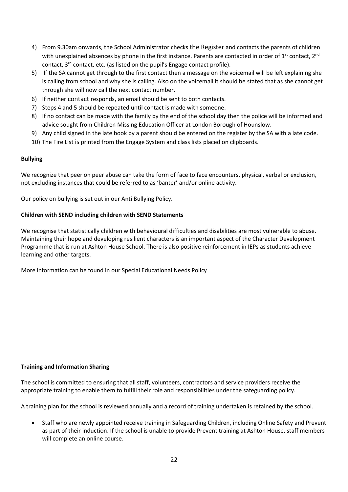- 4) From 9.30am onwards, the School Administrator checks the Register and contacts the parents of children with unexplained absences by phone in the first instance. Parents are contacted in order of 1<sup>st</sup> contact, 2<sup>nd</sup> contact, 3rd contact, etc. (as listed on the pupil's Engage contact profile).
- 5) If the SA cannot get through to the first contact then a message on the voicemail will be left explaining she is calling from school and why she is calling. Also on the voicemail it should be stated that as she cannot get through she will now call the next contact number.
- 6) If neither contact responds, an email should be sent to both contacts.
- 7) Steps 4 and 5 should be repeated until contact is made with someone.
- 8) If no contact can be made with the family by the end of the school day then the police will be informed and advice sought from Children Missing Education Officer at London Borough of Hounslow.
- 9) Any child signed in the late book by a parent should be entered on the register by the SA with a late code.
- 10) The Fire List is printed from the Engage System and class lists placed on clipboards.

## **Bullying**

We recognize that peer on peer abuse can take the form of face to face encounters, physical, verbal or exclusion, not excluding instances that could be referred to as 'banter' and/or online activity.

Our policy on bullying is set out in our Anti Bullying Policy.

## **Children with SEND including children with SEND Statements**

We recognise that statistically children with behavioural difficulties and disabilities are most vulnerable to abuse. Maintaining their hope and developing resilient characters is an important aspect of the Character Development Programme that is run at Ashton House School. There is also positive reinforcement in IEPs as students achieve learning and other targets.

More information can be found in our Special Educational Needs Policy

## **Training and Information Sharing**

The school is committed to ensuring that all staff, volunteers, contractors and service providers receive the appropriate training to enable them to fulfill their role and responsibilities under the safeguarding policy.

A training plan for the school is reviewed annually and a record of training undertaken is retained by the school.

• Staff who are newly appointed receive training in Safeguarding Children, including Online Safety and Prevent as part of their induction. If the school is unable to provide Prevent training at Ashton House, staff members will complete an online course.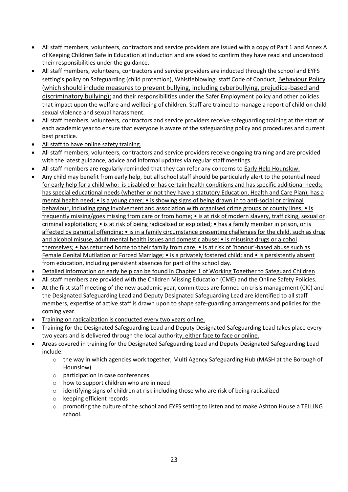- All staff members, volunteers, contractors and service providers are issued with a copy of Part 1 and Annex A of Keeping Children Safe in Education at induction and are asked to confirm they have read and understood their responsibilities under the guidance.
- All staff members, volunteers, contractors and service providers are inducted through the school and EYFS setting's policy on Safeguarding (child protection), Whistleblowing, staff Code of Conduct, Behaviour Policy (which should include measures to prevent bullying, including cyberbullying, prejudice-based and discriminatory bullying); and their responsibilities under the Safer Employment policy and other policies that impact upon the welfare and wellbeing of children. Staff are trained to manage a report of child on child sexual violence and sexual harassment.
- All staff members, volunteers, contractors and service providers receive safeguarding training at the start of each academic year to ensure that everyone is aware of the safeguarding policy and procedures and current best practice.
- All staff to have online safety training.
- All staff members, volunteers, contractors and service providers receive ongoing training and are provided with the latest guidance, advice and informal updates via regular staff meetings.
- All staff members are regularly reminded that they can refer any concerns to Early Help Hounslow.
- Any child may benefit from early help, but all school staff should be particularly alert to the potential need for early help for a child who: is disabled or has certain health conditions and has specific additional needs; has special educational needs (whether or not they have a statutory Education, Health and Care Plan); has a mental health need; • is a young carer; • is showing signs of being drawn in to anti-social or criminal behaviour, including gang involvement and association with organised crime groups or county lines; • is frequently missing/goes missing from care or from home; • is at risk of modern slavery, trafficking, sexual or criminal exploitation; • is at risk of being radicalised or exploited; • has a family member in prison, or is affected by parental offending; • is in a family circumstance presenting challenges for the child, such as drug and alcohol misuse, adult mental health issues and domestic abuse; • is misusing drugs or alcohol themselves; • has returned home to their family from care; • is at risk of 'honour'-based abuse such as Female Genital Mutilation or Forced Marriage; • is a privately fostered child; and • is persistently absent from education, including persistent absences for part of the school day.
- Detailed information on early help can be found in Chapter 1 of Working Together to Safeguard Children
- All staff members are provided with the Children Missing Education (CME) and the Online Safety Policies.
- At the first staff meeting of the new academic year, committees are formed on crisis management (CIC) and the Designated Safeguarding Lead and Deputy Designated Safeguarding Lead are identified to all staff members, expertise of active staff is drawn upon to shape safe-guarding arrangements and policies for the coming year.
- Training on radicalization is conducted every two years online.
- Training for the Designated Safeguarding Lead and Deputy Designated Safeguarding Lead takes place every two years and is delivered through the local authority, either face to face or online.
- Areas covered in training for the Designated Safeguarding Lead and Deputy Designated Safeguarding Lead include:
	- o the way in which agencies work together, Multi Agency Safeguarding Hub (MASH at the Borough of Hounslow)
	- o participation in case conferences
	- o how to support children who are in need
	- o identifying signs of children at risk including those who are risk of being radicalized
	- o keeping efficient records
	- $\circ$  promoting the culture of the school and EYFS setting to listen and to make Ashton House a TELLING school.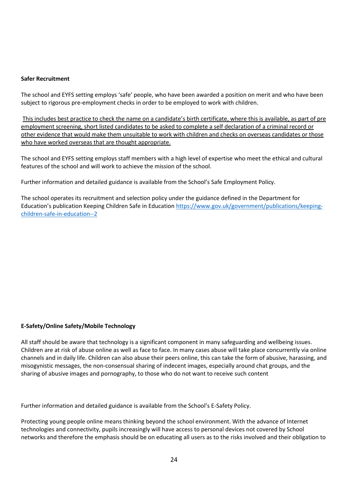## **Safer Recruitment**

The school and EYFS setting employs 'safe' people, who have been awarded a position on merit and who have been subject to rigorous pre-employment checks in order to be employed to work with children.

This includes best practice to check the name on a candidate's birth certificate, where this is available, as part of pre employment screening, short listed candidates to be asked to complete a self declaration of a criminal record or other evidence that would make them unsuitable to work with children and checks on overseas candidates or those who have worked overseas that are thought appropriate.

The school and EYFS setting employs staff members with a high level of expertise who meet the ethical and cultural features of the school and will work to achieve the mission of the school.

Further information and detailed guidance is available from the School's Safe Employment Policy.

The school operates its recruitment and selection policy under the guidance defined in the Department for Education's publication Keeping Children Safe in Education [https://www.gov.uk/government/publications/keeping](https://www.gov.uk/government/publications/keeping-children-safe-in-education--2)[children-safe-in-education--2](https://www.gov.uk/government/publications/keeping-children-safe-in-education--2)

## **E-Safety/Online Safety/Mobile Technology**

All staff should be aware that technology is a significant component in many safeguarding and wellbeing issues. Children are at risk of abuse online as well as face to face. In many cases abuse will take place concurrently via online channels and in daily life. Children can also abuse their peers online, this can take the form of abusive, harassing, and misogynistic messages, the non-consensual sharing of indecent images, especially around chat groups, and the sharing of abusive images and pornography, to those who do not want to receive such content

Further information and detailed guidance is available from the School's E-Safety Policy.

Protecting young people online means thinking beyond the school environment. With the advance of Internet technologies and connectivity, pupils increasingly will have access to personal devices not covered by School networks and therefore the emphasis should be on educating all users as to the risks involved and their obligation to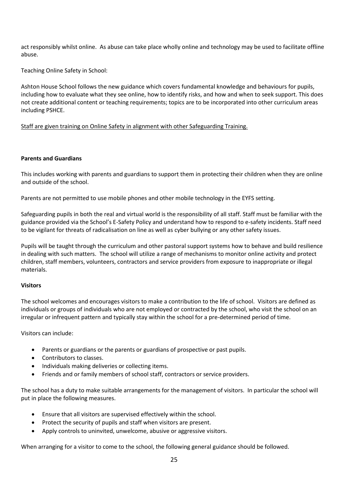act responsibly whilst online. As abuse can take place wholly online and technology may be used to facilitate offline abuse.

Teaching Online Safety in School:

Ashton House School follows the new guidance which covers fundamental knowledge and behaviours for pupils, including how to evaluate what they see online, how to identify risks, and how and when to seek support. This does not create additional content or teaching requirements; topics are to be incorporated into other curriculum areas including PSHCE.

Staff are given training on Online Safety in alignment with other Safeguarding Training.

## **Parents and Guardians**

This includes working with parents and guardians to support them in protecting their children when they are online and outside of the school.

Parents are not permitted to use mobile phones and other mobile technology in the EYFS setting.

Safeguarding pupils in both the real and virtual world is the responsibility of all staff. Staff must be familiar with the guidance provided via the School's E-Safety Policy and understand how to respond to e-safety incidents. Staff need to be vigilant for threats of radicalisation on line as well as cyber bullying or any other safety issues.

Pupils will be taught through the curriculum and other pastoral support systems how to behave and build resilience in dealing with such matters. The school will utilize a range of mechanisms to monitor online activity and protect children, staff members, volunteers, contractors and service providers from exposure to inappropriate or illegal materials.

## **Visitors**

The school welcomes and encourages visitors to make a contribution to the life of school. Visitors are defined as individuals or groups of individuals who are not employed or contracted by the school, who visit the school on an irregular or infrequent pattern and typically stay within the school for a pre-determined period of time.

Visitors can include:

- Parents or guardians or the parents or guardians of prospective or past pupils.
- Contributors to classes.
- Individuals making deliveries or collecting items.
- Friends and or family members of school staff, contractors or service providers.

The school has a duty to make suitable arrangements for the management of visitors. In particular the school will put in place the following measures.

- Ensure that all visitors are supervised effectively within the school.
- Protect the security of pupils and staff when visitors are present.
- Apply controls to uninvited, unwelcome, abusive or aggressive visitors.

When arranging for a visitor to come to the school, the following general guidance should be followed.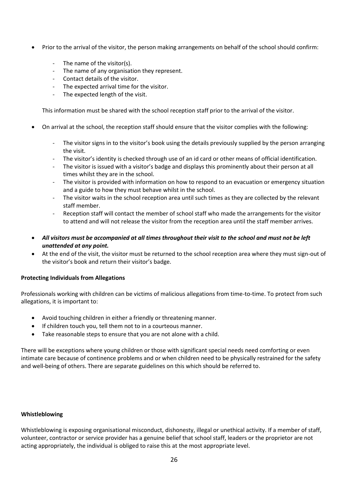- Prior to the arrival of the visitor, the person making arrangements on behalf of the school should confirm:
	- The name of the visitor(s).
	- The name of any organisation they represent.
	- Contact details of the visitor.
	- The expected arrival time for the visitor.
	- The expected length of the visit.

This information must be shared with the school reception staff prior to the arrival of the visitor.

- On arrival at the school, the reception staff should ensure that the visitor complies with the following:
	- The visitor signs in to the visitor's book using the details previously supplied by the person arranging the visit.
	- The visitor's identity is checked through use of an id card or other means of official identification.
	- The visitor is issued with a visitor's badge and displays this prominently about their person at all times whilst they are in the school.
	- The visitor is provided with information on how to respond to an evacuation or emergency situation and a guide to how they must behave whilst in the school.
	- The visitor waits in the school reception area until such times as they are collected by the relevant staff member.
	- Reception staff will contact the member of school staff who made the arrangements for the visitor to attend and will not release the visitor from the reception area until the staff member arrives.
- *All visitors must be accompanied at all times throughout their visit to the school and must not be left unattended at any point.*
- At the end of the visit, the visitor must be returned to the school reception area where they must sign-out of the visitor's book and return their visitor's badge.

## **Protecting Individuals from Allegations**

Professionals working with children can be victims of malicious allegations from time-to-time. To protect from such allegations, it is important to:

- Avoid touching children in either a friendly or threatening manner.
- If children touch you, tell them not to in a courteous manner.
- Take reasonable steps to ensure that you are not alone with a child.

There will be exceptions where young children or those with significant special needs need comforting or even intimate care because of continence problems and or when children need to be physically restrained for the safety and well-being of others. There are separate guidelines on this which should be referred to.

## **Whistleblowing**

Whistleblowing is exposing organisational misconduct, dishonesty, illegal or unethical activity. If a member of staff, volunteer, contractor or service provider has a genuine belief that school staff, leaders or the proprietor are not acting appropriately, the individual is obliged to raise this at the most appropriate level.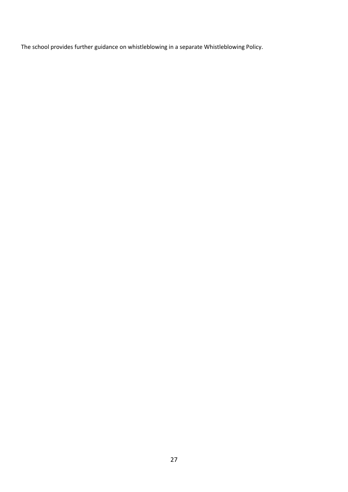The school provides further guidance on whistleblowing in a separate Whistleblowing Policy.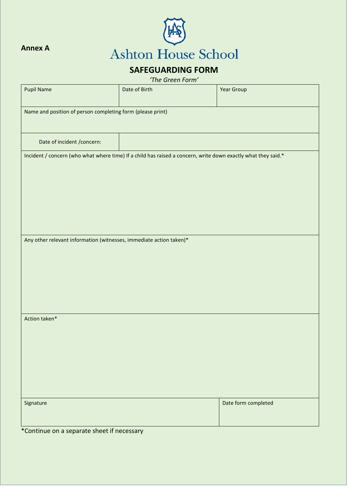

## **Annex A**

## **SAFEGUARDING FORM**

*'The Green Form'*

| <b>Pupil Name</b>                                                   | Date of Birth                                                                                                 | Year Group          |  |
|---------------------------------------------------------------------|---------------------------------------------------------------------------------------------------------------|---------------------|--|
|                                                                     | Name and position of person completing form (please print)                                                    |                     |  |
| Date of incident / concern:                                         |                                                                                                               |                     |  |
|                                                                     | Incident / concern (who what where time) If a child has raised a concern, write down exactly what they said.* |                     |  |
|                                                                     |                                                                                                               |                     |  |
|                                                                     |                                                                                                               |                     |  |
|                                                                     |                                                                                                               |                     |  |
|                                                                     |                                                                                                               |                     |  |
| Any other relevant information (witnesses, immediate action taken)* |                                                                                                               |                     |  |
|                                                                     |                                                                                                               |                     |  |
|                                                                     |                                                                                                               |                     |  |
|                                                                     |                                                                                                               |                     |  |
|                                                                     |                                                                                                               |                     |  |
|                                                                     |                                                                                                               |                     |  |
| Action taken*                                                       |                                                                                                               |                     |  |
|                                                                     |                                                                                                               |                     |  |
|                                                                     |                                                                                                               |                     |  |
|                                                                     |                                                                                                               |                     |  |
|                                                                     |                                                                                                               |                     |  |
| Signature                                                           |                                                                                                               | Date form completed |  |
|                                                                     |                                                                                                               |                     |  |

\*Continue on a separate sheet if necessary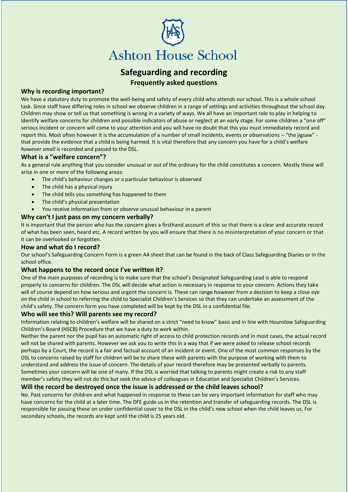# **Ashton House School**

## **Safeguarding and recording Frequently asked questions**

## **Why is recording important?**

We have a statutory duty to promote the well-being and safety of every child who attends our school. This is a whole school task. Since staff have differing roles in school we observe children in a range of settings and activities throughout the school day. Children may show or tell us that something is wrong in a variety of ways. We all have an important role to play in helping to identify welfare concerns for children and possible indicators of abuse or neglect at an early stage. For some children a "one off" serious incident or concern will come to your attention and you will have no doubt that this you must immediately record and report this. Most often however it is the accumulation of a number of small incidents, events or observations – "the jigsaw" that provide the evidence that a child is being harmed. It is vital therefore that any concern you have for a child's welfare *however small* is recorded and passed to the DSL.

## **What is a "welfare concern"?**

As a general rule anything that you consider unusual or out of the ordinary for the child constitutes a concern. Mostly these will arise in one or more of the following areas:

- The child's behaviour changes or a particular behaviour is observed
- The child has a physical injury
- The child tells you something has happened to them
- The child's physical presentation
- You receive information from or observe unusual behaviour in a parent

## **Why can't I just pass on my concern verbally?**

It is important that the person who has the concern gives a firsthand account of this so that there is a clear and accurate record of what has been seen, heard etc. A record written by you will ensure that there is no misinterpretation of your concern or that it can be overlooked or forgotten.

## **How and what do I record?**

Our school's Safeguarding Concern Form is a green A4 sheet that can be found in the back of Class Safeguarding Diaries or in the school office.

## **What happens to the record once I've written it?**

One of the main purposes of recording is to make sure that the school's Designated Safeguarding Lead is able to respond properly to concerns for children. The DSL will decide what action is necessary in response to your concern. Actions they take will of course depend on how serious and urgent the concern is. These can range however from a decision to keep a close eye on the child in school to referring the child to Specialist Children's Services so that they can undertake an assessment of the child's safety. The concern form you have completed will be kept by the DSL in a confidential file.

## **Who will see this? Will parents see my record?**

Information relating to children's welfare will be shared on a strict "need to know" basis and in line with Hounslow Safeguarding Children's Board (HSCB) Procedure that we have a duty to work within.

Neither the parent nor the pupil has an automatic right of access to child protection records and in most cases, the actual record will not be shared with parents. However we ask you to write this in a way that if we were asked to release school records perhaps by a Court, the record is a fair and factual account of an incident or event. One of the most common responses by the DSL to concerns raised by staff for children will be to share these with parents with the purpose of working with them to understand and address the issue of concern. The details of your record therefore may be presented verbally to parents. Sometimes your concern will be one of many. If the DSL is worried that talking to parents might create a risk to any staff member's safety they will not do this but seek the advice of colleagues in Education and Specialist Children's Services.

## **Will the record be destroyed once the issue is addressed or the child leaves school?**

No. Past concerns for children and what happened in response to these can be very important information for staff who may have concerns for the child at a later time. The DFE guide us in the retention and transfer of safeguarding records. The DSL is responsible for passing these on under confidential cover to the DSL in the child's new school when the child leaves us. For secondary schools, the records are kept until the child is 25 years old.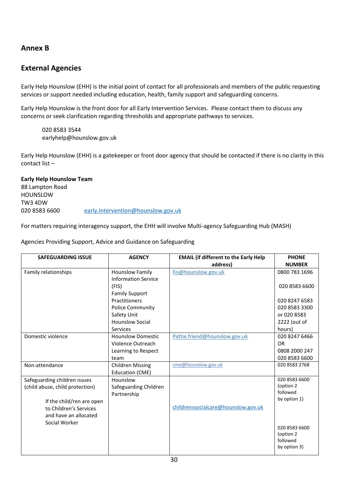## **Annex B**

## **External Agencies**

Early Help Hounslow (EHH) is the initial point of contact for all professionals and members of the public requesting services or support needed including education, health, family support and safeguarding concerns.

Early Help Hounslow is the front door for all Early Intervention Services. Please contact them to discuss any concerns or seek clarification regarding thresholds and appropriate pathways to services.

020 8583 3544 [earlyhelp@hounslow.gov.uk](mailto:earlyhelp@hounslow.gov.uk)

Early Help Hounslow (EHH) is a gatekeeper or front door agency that should be contacted if there is no clarity in this contact list –

## **Early Help Hounslow Team** 88 Lampton Road HOUNSLOW TW3 4DW 020 8583 6600 [early.intervention@hounslow.gov.uk](mailto:early.intervention@hounslow.gov.uk)

For matters requiring interagency support, the EHH will involve Multi-agency Safeguarding Hub (MASH)

Agencies Providing Support, Advice and Guidance on Safeguarding

| <b>SAFEGUARDING ISSUE</b>       | <b>AGENCY</b>                                        | <b>EMAIL (if different to the Early Help</b> | <b>PHONE</b>          |
|---------------------------------|------------------------------------------------------|----------------------------------------------|-----------------------|
|                                 |                                                      | address)                                     | <b>NUMBER</b>         |
| Family relationships            | <b>Hounslow Family</b><br><b>Information Service</b> | Fis@hounslow.gov.uk                          | 0800 783 1696         |
|                                 | (FIS)<br><b>Family Support</b>                       |                                              | 020 8583 6600         |
|                                 | Practitioners                                        |                                              | 020 8247 6583         |
|                                 | <b>Police Community</b>                              |                                              | 020 8583 3300         |
|                                 | Safety Unit                                          |                                              | or 020 8583           |
|                                 | <b>Hounslow Social</b>                               |                                              | 2222 (out of          |
|                                 | Services                                             |                                              | hours)                |
| Domestic violence               | <b>Hounslow Domestic</b>                             | Pattie.friend@hounslow.gov.uk                | 020 8247 6466         |
|                                 | Violence Outreach                                    |                                              | <b>OR</b>             |
|                                 | Learning to Respect                                  |                                              | 0808 2000 247         |
|                                 | team                                                 |                                              | 020 8583 6600         |
| Non-attendance                  | <b>Children Missing</b><br><b>Education (CME)</b>    | cme@hounslow.gov.uk                          | 020 8583 2768         |
| Safeguarding children issues    | Hounslow                                             |                                              | 020 8583 6600         |
| (child abuse, child protection) | Safeguarding Children                                |                                              | (option 2             |
|                                 | Partnership                                          |                                              | followed              |
| If the child/ren are open       |                                                      |                                              | by option 1)          |
| to Children's Services          |                                                      | childrenssocialcare@hounslow.gov.uk          |                       |
| and have an allocated           |                                                      |                                              |                       |
| Social Worker                   |                                                      |                                              |                       |
|                                 |                                                      |                                              | 020 8583 6600         |
|                                 |                                                      |                                              | (option 2<br>followed |
|                                 |                                                      |                                              | by option 3)          |
|                                 |                                                      |                                              |                       |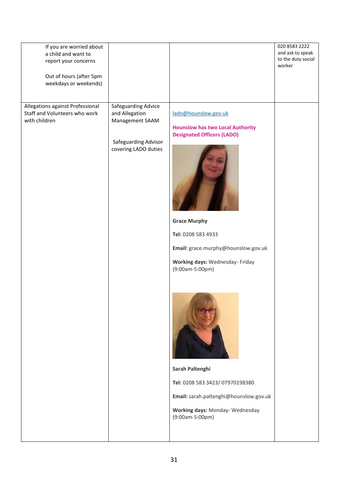| If you are worried about<br>a child and want to<br>report your concerns<br>Out of hours (after 5pm<br>weekdays or weekends) |                                                                                                          |                                                                                                                                                                                                                                                                                                                                                                                                      | 020 8583 2222<br>and ask to speak<br>to the duty social<br>worker |
|-----------------------------------------------------------------------------------------------------------------------------|----------------------------------------------------------------------------------------------------------|------------------------------------------------------------------------------------------------------------------------------------------------------------------------------------------------------------------------------------------------------------------------------------------------------------------------------------------------------------------------------------------------------|-------------------------------------------------------------------|
| Allegations against Professional<br>Staff and Volunteers who work<br>with children                                          | Safeguarding Advice<br>and Allegation<br>Management SAAM<br>Safeguarding Advisor<br>covering LADO duties | lado@hounslow.gov.uk<br><b>Hounslow has two Local Authority</b><br><b>Designated Officers (LADO)</b><br><b>Grace Murphy</b><br>Tel: 0208 583 4933<br>Email: grace.murphy@hounslow.gov.uk<br>Working days: Wednesday- Friday<br>$(9:00am-5:00pm)$<br>Sarah Paltenghi<br>Tel: 0208 583 3423/07970198380<br>Email: sarah.paltenghi@hounslow.gov.uk<br>Working days: Monday-Wednesday<br>(9:00am-5:00pm) |                                                                   |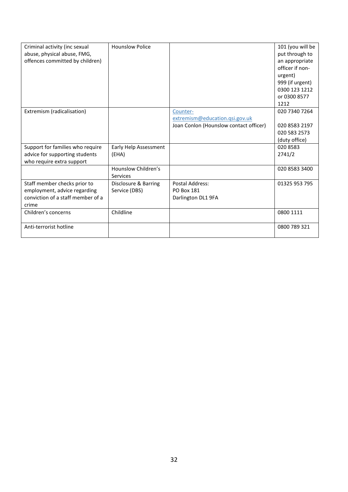| Criminal activity (inc sexual<br>abuse, physical abuse, FMG,<br>offences committed by children) | <b>Hounslow Police</b> |                                        | 101 (you will be<br>put through to<br>an appropriate<br>officer if non-<br>urgent)<br>999 (if urgent)<br>0300 123 1212<br>or 0300 8577<br>1212 |
|-------------------------------------------------------------------------------------------------|------------------------|----------------------------------------|------------------------------------------------------------------------------------------------------------------------------------------------|
| Extremism (radicalisation)                                                                      |                        | Counter-                               | 020 7340 7264                                                                                                                                  |
|                                                                                                 |                        |                                        |                                                                                                                                                |
|                                                                                                 |                        | extremism@education.qsi.gov.uk         |                                                                                                                                                |
|                                                                                                 |                        | Joan Conlon (Hounslow contact officer) | 020 8583 2197                                                                                                                                  |
|                                                                                                 |                        |                                        | 020 583 2573                                                                                                                                   |
|                                                                                                 |                        |                                        | (duty office)                                                                                                                                  |
| Support for families who require                                                                | Early Help Assessment  |                                        | 020 8583                                                                                                                                       |
| advice for supporting students                                                                  | (EHA)                  |                                        | 2741/2                                                                                                                                         |
| who require extra support                                                                       |                        |                                        |                                                                                                                                                |
|                                                                                                 | Hounslow Children's    |                                        | 020 8583 3400                                                                                                                                  |
|                                                                                                 | Services               |                                        |                                                                                                                                                |
| Staff member checks prior to                                                                    | Disclosure & Barring   | Postal Address:                        | 01325 953 795                                                                                                                                  |
| employment, advice regarding                                                                    | Service (DBS)          | PO Box 181                             |                                                                                                                                                |
| conviction of a staff member of a                                                               |                        | Darlington DL1 9FA                     |                                                                                                                                                |
| crime                                                                                           |                        |                                        |                                                                                                                                                |
|                                                                                                 |                        |                                        |                                                                                                                                                |
| Children's concerns                                                                             | Childline              |                                        | 0800 1111                                                                                                                                      |
| Anti-terrorist hotline                                                                          |                        |                                        | 0800 789 321                                                                                                                                   |
|                                                                                                 |                        |                                        |                                                                                                                                                |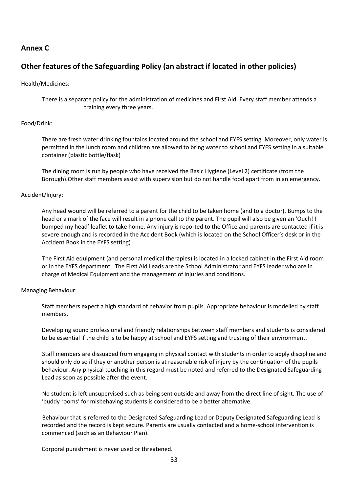## **Annex C**

## **Other features of the Safeguarding Policy (an abstract if located in other policies)**

Health/Medicines:

There is a separate policy for the administration of medicines and First Aid. Every staff member attends a training every three years.

## Food/Drink:

There are fresh water drinking fountains located around the school and EYFS setting. Moreover, only water is permitted in the lunch room and children are allowed to bring water to school and EYFS setting in a suitable container (plastic bottle/flask)

The dining room is run by people who have received the Basic Hygiene (Level 2) certificate (from the Borough).Other staff members assist with supervision but do not handle food apart from in an emergency.

## Accident/Injury:

Any head wound will be referred to a parent for the child to be taken home (and to a doctor). Bumps to the head or a mark of the face will result in a phone call to the parent. The pupil will also be given an 'Ouch! I bumped my head' leaflet to take home. Any injury is reported to the Office and parents are contacted if it is severe enough and is recorded in the Accident Book (which is located on the School Officer's desk or in the Accident Book in the EYFS setting)

The First Aid equipment (and personal medical therapies) is located in a locked cabinet in the First Aid room or in the EYFS department. The First Aid Leads are the School Administrator and EYFS leader who are in charge of Medical Equipment and the management of injuries and conditions.

## Managing Behaviour:

Staff members expect a high standard of behavior from pupils. Appropriate behaviour is modelled by staff members.

Developing sound professional and friendly relationships between staff members and students is considered to be essential if the child is to be happy at school and EYFS setting and trusting of their environment.

Staff members are dissuaded from engaging in physical contact with students in order to apply discipline and should only do so if they or another person is at reasonable risk of injury by the continuation of the pupils behaviour. Any physical touching in this regard must be noted and referred to the Designated Safeguarding Lead as soon as possible after the event.

No student is left unsupervised such as being sent outside and away from the direct line of sight. The use of 'buddy rooms' for misbehaving students is considered to be a better alternative.

Behaviour that is referred to the Designated Safeguarding Lead or Deputy Designated Safeguarding Lead is recorded and the record is kept secure. Parents are usually contacted and a home-school intervention is commenced (such as an Behaviour Plan).

Corporal punishment is never used or threatened.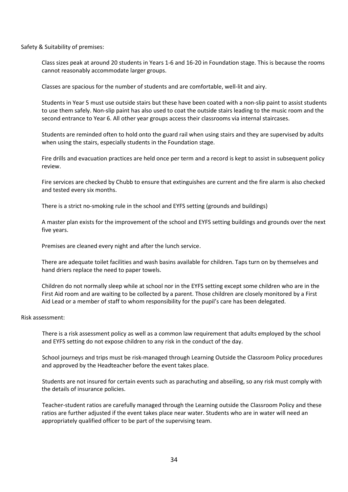Safety & Suitability of premises:

Class sizes peak at around 20 students in Years 1-6 and 16-20 in Foundation stage. This is because the rooms cannot reasonably accommodate larger groups.

Classes are spacious for the number of students and are comfortable, well-lit and airy.

Students in Year 5 must use outside stairs but these have been coated with a non-slip paint to assist students to use them safely. Non-slip paint has also used to coat the outside stairs leading to the music room and the second entrance to Year 6. All other year groups access their classrooms via internal staircases.

Students are reminded often to hold onto the guard rail when using stairs and they are supervised by adults when using the stairs, especially students in the Foundation stage.

Fire drills and evacuation practices are held once per term and a record is kept to assist in subsequent policy review.

Fire services are checked by Chubb to ensure that extinguishes are current and the fire alarm is also checked and tested every six months.

There is a strict no-smoking rule in the school and EYFS setting (grounds and buildings)

A master plan exists for the improvement of the school and EYFS setting buildings and grounds over the next five years.

Premises are cleaned every night and after the lunch service.

There are adequate toilet facilities and wash basins available for children. Taps turn on by themselves and hand driers replace the need to paper towels.

Children do not normally sleep while at school nor in the EYFS setting except some children who are in the First Aid room and are waiting to be collected by a parent. Those children are closely monitored by a First Aid Lead or a member of staff to whom responsibility for the pupil's care has been delegated.

#### Risk assessment:

There is a risk assessment policy as well as a common law requirement that adults employed by the school and EYFS setting do not expose children to any risk in the conduct of the day.

School journeys and trips must be risk-managed through Learning Outside the Classroom Policy procedures and approved by the Headteacher before the event takes place.

Students are not insured for certain events such as parachuting and abseiling, so any risk must comply with the details of insurance policies.

Teacher-student ratios are carefully managed through the Learning outside the Classroom Policy and these ratios are further adjusted if the event takes place near water. Students who are in water will need an appropriately qualified officer to be part of the supervising team.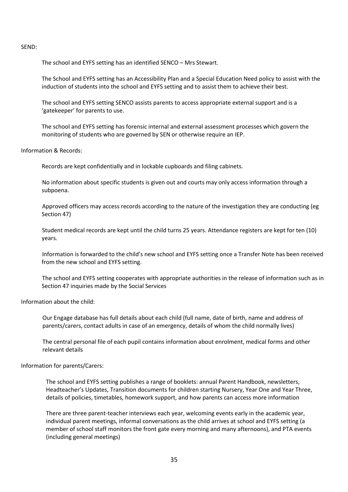SEND:

The school and EYFS setting has an identified SENCO – Mrs Stewart.

The School and EYFS setting has an Accessibility Plan and a Special Education Need policy to assist with the induction of students into the school and EYFS setting and to assist them to achieve their best.

The school and EYFS setting SENCO assists parents to access appropriate external support and is a 'gatekeeper' for parents to use.

The school and EYFS setting has forensic internal and external assessment processes which govern the monitoring of students who are governed by SEN or otherwise require an IEP.

Information & Records:

Records are kept confidentially and in lockable cupboards and filing cabinets.

No information about specific students is given out and courts may only access information through a subpoena.

Approved officers may access records according to the nature of the investigation they are conducting (eg Section 47)

Student medical records are kept until the child turns 25 years. Attendance registers are kept for ten (10) years.

Information is forwarded to the child's new school and EYFS setting once a Transfer Note has been received from the new school and EYFS setting.

The school and EYFS setting cooperates with appropriate authorities in the release of information such as in Section 47 inquiries made by the Social Services

Information about the child:

Our Engage database has full details about each child (full name, date of birth, name and address of parents/carers, contact adults in case of an emergency, details of whom the child normally lives)

The central personal file of each pupil contains information about enrolment, medical forms and other relevant details

#### Information for parents/Carers:

The school and EYFS setting publishes a range of booklets: annual Parent Handbook, newsletters, Headteacher's Updates, Transition documents for children starting Nursery, Year One and Year Three, details of policies, timetables, homework support, and how parents can access more information

There are three parent-teacher interviews each year, welcoming events early in the academic year, individual parent meetings, informal conversations as the child arrives at school and EYFS setting (a member of school staff monitors the front gate every morning and many afternoons), and PTA events (including general meetings)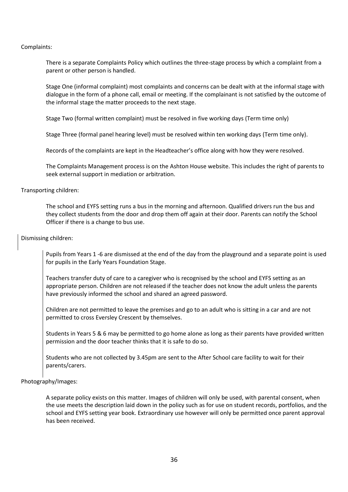## Complaints:

There is a separate Complaints Policy which outlines the three-stage process by which a complaint from a parent or other person is handled.

Stage One (informal complaint) most complaints and concerns can be dealt with at the informal stage with dialogue in the form of a phone call, email or meeting. If the complainant is not satisfied by the outcome of the informal stage the matter proceeds to the next stage.

Stage Two (formal written complaint) must be resolved in five working days (Term time only)

Stage Three (formal panel hearing level) must be resolved within ten working days (Term time only).

Records of the complaints are kept in the Headteacher's office along with how they were resolved.

The Complaints Management process is on the Ashton House website. This includes the right of parents to seek external support in mediation or arbitration.

## Transporting children:

The school and EYFS setting runs a bus in the morning and afternoon. Qualified drivers run the bus and they collect students from the door and drop them off again at their door. Parents can notify the School Officer if there is a change to bus use.

## Dismissing children:

Pupils from Years 1 -6 are dismissed at the end of the day from the playground and a separate point is used for pupils in the Early Years Foundation Stage.

Teachers transfer duty of care to a caregiver who is recognised by the school and EYFS setting as an appropriate person. Children are not released if the teacher does not know the adult unless the parents have previously informed the school and shared an agreed password.

Children are not permitted to leave the premises and go to an adult who is sitting in a car and are not permitted to cross Eversley Crescent by themselves.

Students in Years 5 & 6 may be permitted to go home alone as long as their parents have provided written permission and the door teacher thinks that it is safe to do so.

Students who are not collected by 3.45pm are sent to the After School care facility to wait for their parents/carers.

## Photography/Images:

A separate policy exists on this matter. Images of children will only be used, with parental consent, when the use meets the description laid down in the policy such as for use on student records, portfolios, and the school and EYFS setting year book. Extraordinary use however will only be permitted once parent approval has been received.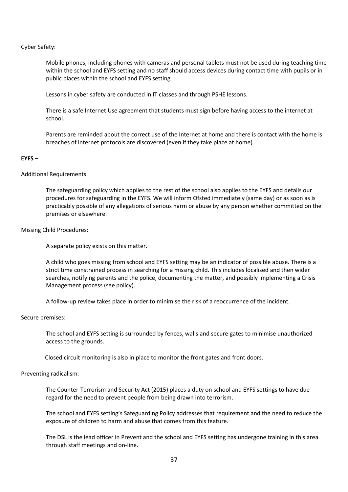## Cyber Safety:

Mobile phones, including phones with cameras and personal tablets must not be used during teaching time within the school and EYFS setting and no staff should access devices during contact time with pupils or in public places within the school and EYFS setting.

Lessons in cyber safety are conducted in IT classes and through PSHE lessons.

There is a safe Internet Use agreement that students must sign before having access to the internet at school.

Parents are reminded about the correct use of the Internet at home and there is contact with the home is breaches of internet protocols are discovered (even if they take place at home)

## **EYFS –**

Additional Requirements

The safeguarding policy which applies to the rest of the school also applies to the EYFS and details our procedures for safeguarding in the EYFS. We will inform Ofsted immediately (same day) or as soon as is practicably possible of any allegations of serious harm or abuse by any person whether committed on the premises or elsewhere.

Missing Child Procedures:

A separate policy exists on this matter.

A child who goes missing from school and EYFS setting may be an indicator of possible abuse. There is a strict time constrained process in searching for a missing child. This includes localised and then wider searches, notifying parents and the police, documenting the matter, and possibly implementing a Crisis Management process (see policy).

A follow-up review takes place in order to minimise the risk of a reoccurrence of the incident.

#### Secure premises:

The school and EYFS setting is surrounded by fences, walls and secure gates to minimise unauthorized access to the grounds.

Closed circuit monitoring is also in place to monitor the front gates and front doors.

#### Preventing radicalism:

The Counter-Terrorism and Security Act (2015) places a duty on school and EYFS settings to have due regard for the need to prevent people from being drawn into terrorism.

The school and EYFS setting's Safeguarding Policy addresses that requirement and the need to reduce the exposure of children to harm and abuse that comes from this feature.

The DSL is the lead officer in Prevent and the school and EYFS setting has undergone training in this area through staff meetings and on-line.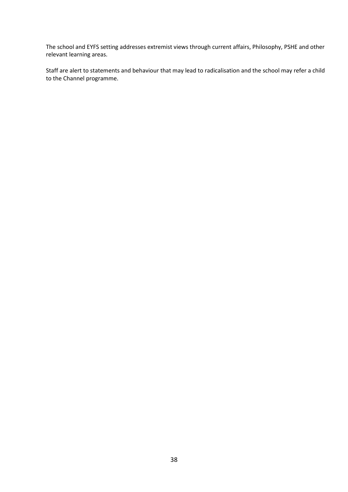The school and EYFS setting addresses extremist views through current affairs, Philosophy, PSHE and other relevant learning areas.

Staff are alert to statements and behaviour that may lead to radicalisation and the school may refer a child to the Channel programme.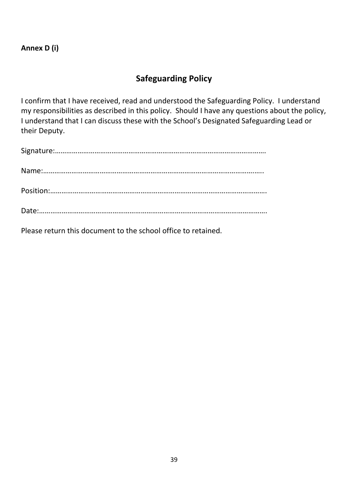## **Safeguarding Policy**

I confirm that I have received, read and understood the Safeguarding Policy. I understand my responsibilities as described in this policy. Should I have any questions about the policy, I understand that I can discuss these with the School's Designated Safeguarding Lead or their Deputy.

Please return this document to the school office to retained.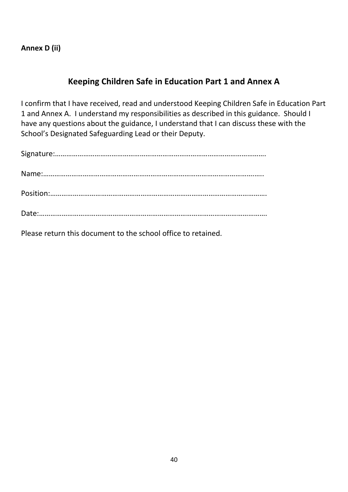## **Annex D (ii)**

## **Keeping Children Safe in Education Part 1 and Annex A**

I confirm that I have received, read and understood Keeping Children Safe in Education Part 1 and Annex A. I understand my responsibilities as described in this guidance. Should I have any questions about the guidance, I understand that I can discuss these with the School's Designated Safeguarding Lead or their Deputy.

Please return this document to the school office to retained.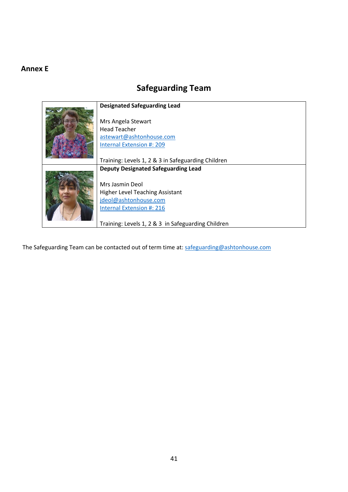## **Annex E**

## **Safeguarding Team**



The Safeguarding Team can be contacted out of term time at: [safeguarding@ashtonhouse.com](mailto:safeguarding@ashtonhouse.com)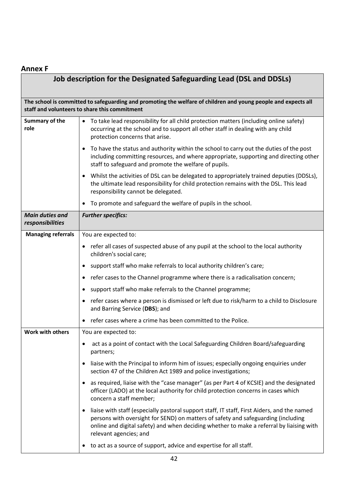## **Annex F**

| Job description for the Designated Safeguarding Lead (DSL and DDSLs)                                                                                            |                                                                                                                                                                                                                                                                                                                     |  |
|-----------------------------------------------------------------------------------------------------------------------------------------------------------------|---------------------------------------------------------------------------------------------------------------------------------------------------------------------------------------------------------------------------------------------------------------------------------------------------------------------|--|
| The school is committed to safeguarding and promoting the welfare of children and young people and expects all<br>staff and volunteers to share this commitment |                                                                                                                                                                                                                                                                                                                     |  |
| Summary of the<br>role                                                                                                                                          | To take lead responsibility for all child protection matters (including online safety)<br>$\bullet$<br>occurring at the school and to support all other staff in dealing with any child<br>protection concerns that arise.                                                                                          |  |
|                                                                                                                                                                 | To have the status and authority within the school to carry out the duties of the post<br>$\bullet$<br>including committing resources, and where appropriate, supporting and directing other<br>staff to safeguard and promote the welfare of pupils.                                                               |  |
|                                                                                                                                                                 | Whilst the activities of DSL can be delegated to appropriately trained deputies (DDSLs),<br>$\bullet$<br>the ultimate lead responsibility for child protection remains with the DSL. This lead<br>responsibility cannot be delegated.                                                                               |  |
|                                                                                                                                                                 | To promote and safeguard the welfare of pupils in the school.                                                                                                                                                                                                                                                       |  |
| <b>Main duties and</b><br>responsibilities                                                                                                                      | <b>Further specifics:</b>                                                                                                                                                                                                                                                                                           |  |
| <b>Managing referrals</b>                                                                                                                                       | You are expected to:                                                                                                                                                                                                                                                                                                |  |
|                                                                                                                                                                 | refer all cases of suspected abuse of any pupil at the school to the local authority<br>$\bullet$<br>children's social care;                                                                                                                                                                                        |  |
|                                                                                                                                                                 | support staff who make referrals to local authority children's care;<br>$\bullet$                                                                                                                                                                                                                                   |  |
|                                                                                                                                                                 | refer cases to the Channel programme where there is a radicalisation concern;<br>$\bullet$                                                                                                                                                                                                                          |  |
|                                                                                                                                                                 | support staff who make referrals to the Channel programme;<br>$\bullet$                                                                                                                                                                                                                                             |  |
|                                                                                                                                                                 | refer cases where a person is dismissed or left due to risk/harm to a child to Disclosure<br>$\bullet$<br>and Barring Service (DBS); and                                                                                                                                                                            |  |
|                                                                                                                                                                 | refer cases where a crime has been committed to the Police.<br>$\bullet$                                                                                                                                                                                                                                            |  |
| Work with others                                                                                                                                                | You are expected to:                                                                                                                                                                                                                                                                                                |  |
|                                                                                                                                                                 | act as a point of contact with the Local Safeguarding Children Board/safeguarding<br>$\bullet$<br>partners;                                                                                                                                                                                                         |  |
|                                                                                                                                                                 | liaise with the Principal to inform him of issues; especially ongoing enquiries under<br>$\bullet$<br>section 47 of the Children Act 1989 and police investigations;                                                                                                                                                |  |
|                                                                                                                                                                 | as required, liaise with the "case manager" (as per Part 4 of KCSIE) and the designated<br>$\bullet$<br>officer (LADO) at the local authority for child protection concerns in cases which<br>concern a staff member;                                                                                               |  |
|                                                                                                                                                                 | liaise with staff (especially pastoral support staff, IT staff, First Aiders, and the named<br>$\bullet$<br>persons with oversight for SEND) on matters of safety and safeguarding (including<br>online and digital safety) and when deciding whether to make a referral by liaising with<br>relevant agencies; and |  |
|                                                                                                                                                                 | to act as a source of support, advice and expertise for all staff.                                                                                                                                                                                                                                                  |  |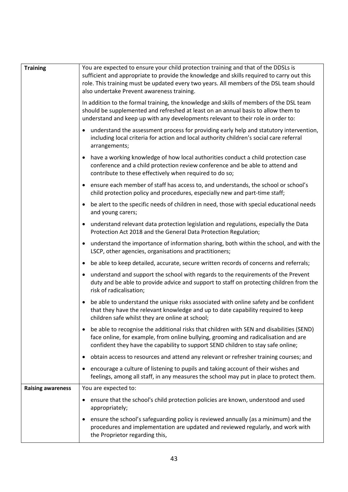| <b>Training</b>          | You are expected to ensure your child protection training and that of the DDSLs is<br>sufficient and appropriate to provide the knowledge and skills required to carry out this<br>role. This training must be updated every two years. All members of the DSL team should<br>also undertake Prevent awareness training. |
|--------------------------|--------------------------------------------------------------------------------------------------------------------------------------------------------------------------------------------------------------------------------------------------------------------------------------------------------------------------|
|                          | In addition to the formal training, the knowledge and skills of members of the DSL team<br>should be supplemented and refreshed at least on an annual basis to allow them to<br>understand and keep up with any developments relevant to their role in order to:                                                         |
|                          | understand the assessment process for providing early help and statutory intervention,<br>including local criteria for action and local authority children's social care referral<br>arrangements;                                                                                                                       |
|                          | have a working knowledge of how local authorities conduct a child protection case<br>$\bullet$<br>conference and a child protection review conference and be able to attend and<br>contribute to these effectively when required to do so;                                                                               |
|                          | • ensure each member of staff has access to, and understands, the school or school's<br>child protection policy and procedures, especially new and part-time staff;                                                                                                                                                      |
|                          | be alert to the specific needs of children in need, those with special educational needs<br>$\bullet$<br>and young carers;                                                                                                                                                                                               |
|                          | • understand relevant data protection legislation and regulations, especially the Data<br>Protection Act 2018 and the General Data Protection Regulation;                                                                                                                                                                |
|                          | understand the importance of information sharing, both within the school, and with the<br>$\bullet$<br>LSCP, other agencies, organisations and practitioners;                                                                                                                                                            |
|                          | be able to keep detailed, accurate, secure written records of concerns and referrals;<br>$\bullet$                                                                                                                                                                                                                       |
|                          | understand and support the school with regards to the requirements of the Prevent<br>$\bullet$<br>duty and be able to provide advice and support to staff on protecting children from the<br>risk of radicalisation;                                                                                                     |
|                          | be able to understand the unique risks associated with online safety and be confident<br>$\bullet$<br>that they have the relevant knowledge and up to date capability required to keep<br>children safe whilst they are online at school;                                                                                |
|                          | be able to recognise the additional risks that children with SEN and disabilities (SEND)<br>face online, for example, from online bullying, grooming and radicalisation and are<br>confident they have the capability to support SEND children to stay safe online;                                                      |
|                          | obtain access to resources and attend any relevant or refresher training courses; and<br>$\bullet$                                                                                                                                                                                                                       |
|                          | encourage a culture of listening to pupils and taking account of their wishes and<br>٠<br>feelings, among all staff, in any measures the school may put in place to protect them.                                                                                                                                        |
| <b>Raising awareness</b> | You are expected to:                                                                                                                                                                                                                                                                                                     |
|                          | ensure that the school's child protection policies are known, understood and used<br>٠<br>appropriately;                                                                                                                                                                                                                 |
|                          | ensure the school's safeguarding policy is reviewed annually (as a minimum) and the<br>$\bullet$<br>procedures and implementation are updated and reviewed regularly, and work with<br>the Proprietor regarding this,                                                                                                    |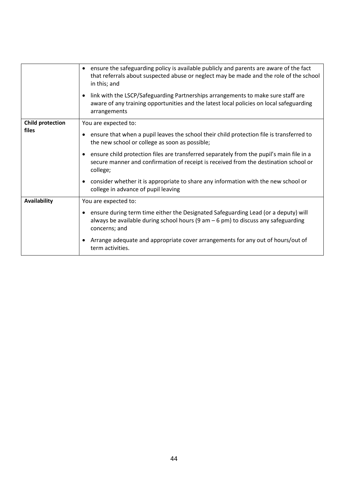|                           | ensure the safeguarding policy is available publicly and parents are aware of the fact<br>$\bullet$<br>that referrals about suspected abuse or neglect may be made and the role of the school<br>in this; and |
|---------------------------|---------------------------------------------------------------------------------------------------------------------------------------------------------------------------------------------------------------|
|                           | link with the LSCP/Safeguarding Partnerships arrangements to make sure staff are<br>$\bullet$<br>aware of any training opportunities and the latest local policies on local safeguarding<br>arrangements      |
| Child protection<br>files | You are expected to:                                                                                                                                                                                          |
|                           | ensure that when a pupil leaves the school their child protection file is transferred to<br>$\bullet$<br>the new school or college as soon as possible;                                                       |
|                           | ensure child protection files are transferred separately from the pupil's main file in a<br>secure manner and confirmation of receipt is received from the destination school or<br>college;                  |
|                           | consider whether it is appropriate to share any information with the new school or<br>$\bullet$<br>college in advance of pupil leaving                                                                        |
| Availability              | You are expected to:                                                                                                                                                                                          |
|                           | ensure during term time either the Designated Safeguarding Lead (or a deputy) will<br>$\bullet$<br>always be available during school hours ( $9$ am $-6$ pm) to discuss any safeguarding<br>concerns; and     |
|                           | Arrange adequate and appropriate cover arrangements for any out of hours/out of<br>term activities.                                                                                                           |